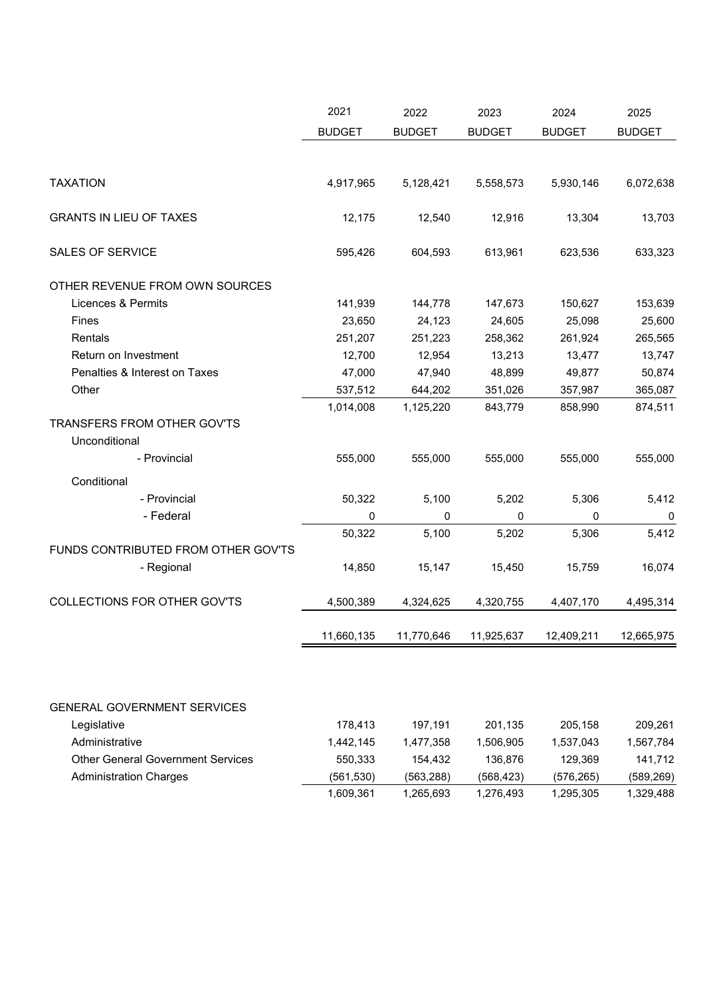|                                              | 2021          | 2022          | 2023          | 2024          | 2025          |
|----------------------------------------------|---------------|---------------|---------------|---------------|---------------|
|                                              | <b>BUDGET</b> | <b>BUDGET</b> | <b>BUDGET</b> | <b>BUDGET</b> | <b>BUDGET</b> |
|                                              |               |               |               |               |               |
| <b>TAXATION</b>                              | 4,917,965     | 5,128,421     | 5,558,573     | 5,930,146     | 6,072,638     |
| <b>GRANTS IN LIEU OF TAXES</b>               | 12,175        | 12,540        | 12,916        | 13,304        | 13,703        |
| <b>SALES OF SERVICE</b>                      | 595,426       | 604,593       | 613,961       | 623,536       | 633,323       |
| OTHER REVENUE FROM OWN SOURCES               |               |               |               |               |               |
| Licences & Permits                           | 141,939       | 144,778       | 147,673       | 150,627       | 153,639       |
| Fines                                        | 23,650        | 24,123        | 24,605        | 25,098        | 25,600        |
| Rentals                                      | 251,207       | 251,223       | 258,362       | 261,924       | 265,565       |
| Return on Investment                         | 12,700        | 12,954        | 13,213        | 13,477        | 13,747        |
| Penalties & Interest on Taxes                | 47,000        | 47,940        | 48,899        | 49,877        | 50,874        |
| Other                                        | 537,512       | 644,202       | 351,026       | 357,987       | 365,087       |
|                                              | 1,014,008     | 1,125,220     | 843,779       | 858,990       | 874,511       |
| TRANSFERS FROM OTHER GOV'TS<br>Unconditional |               |               |               |               |               |
| - Provincial                                 | 555,000       | 555,000       | 555,000       | 555,000       | 555,000       |
| Conditional                                  |               |               |               |               |               |
| - Provincial                                 | 50,322        | 5,100         | 5,202         | 5,306         | 5,412         |
| - Federal                                    | 0             | 0             | 0             | 0             | $\pmb{0}$     |
|                                              | 50,322        | 5,100         | 5,202         | 5,306         | 5,412         |
| FUNDS CONTRIBUTED FROM OTHER GOV'TS          |               |               |               |               |               |
| - Regional                                   | 14,850        | 15,147        | 15,450        | 15,759        | 16,074        |
| COLLECTIONS FOR OTHER GOV'TS                 | 4,500,389     | 4,324,625     | 4,320,755     | 4,407,170     | 4,495,314     |
|                                              | 11,660,135    | 11,770,646    | 11,925,637    | 12,409,211    | 12,665,975    |
|                                              |               |               |               |               |               |
| <b>GENERAL GOVERNMENT SERVICES</b>           |               |               |               |               |               |
| Legislative                                  | 178,413       | 197,191       | 201,135       | 205,158       | 209,261       |
| Administrative                               | 1,442,145     | 1,477,358     | 1,506,905     | 1,537,043     | 1,567,784     |
| <b>Other General Government Services</b>     | 550,333       | 154,432       | 136,876       | 129,369       | 141,712       |
| <b>Administration Charges</b>                | (561, 530)    | (563, 288)    | (568, 423)    | (576, 265)    | (589, 269)    |
|                                              | 1,609,361     | 1,265,693     | 1,276,493     | 1,295,305     | 1,329,488     |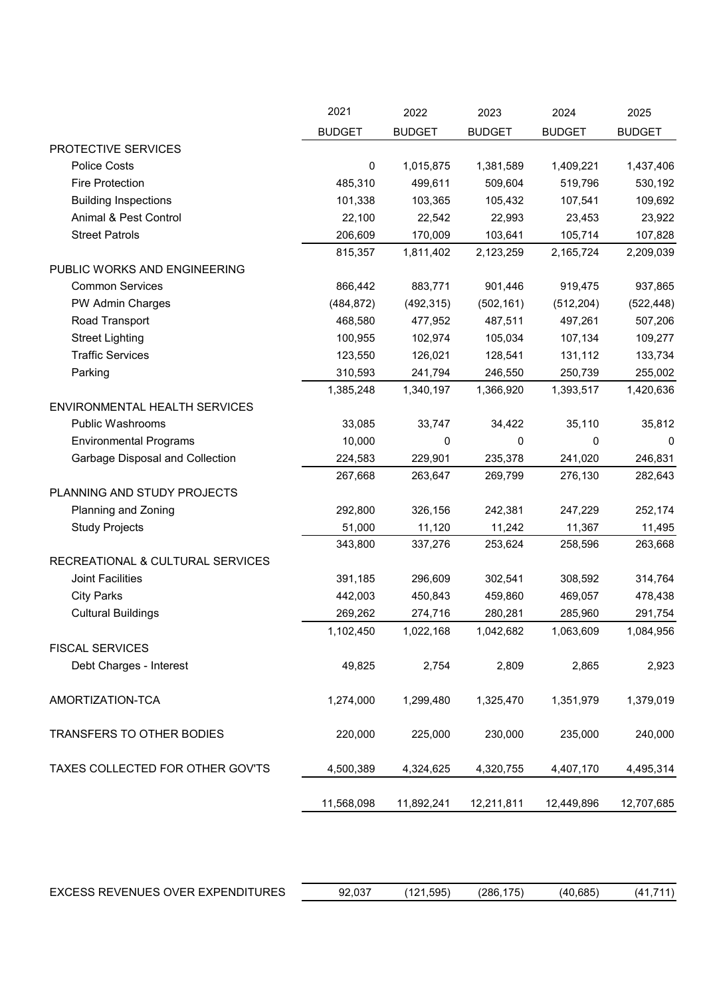|                                  | 2021          | 2022          | 2023          | 2024          | 2025          |
|----------------------------------|---------------|---------------|---------------|---------------|---------------|
|                                  | <b>BUDGET</b> | <b>BUDGET</b> | <b>BUDGET</b> | <b>BUDGET</b> | <b>BUDGET</b> |
| PROTECTIVE SERVICES              |               |               |               |               |               |
| <b>Police Costs</b>              | 0             | 1,015,875     | 1,381,589     | 1,409,221     | 1,437,406     |
| <b>Fire Protection</b>           | 485,310       | 499,611       | 509,604       | 519,796       | 530,192       |
| <b>Building Inspections</b>      | 101,338       | 103,365       | 105,432       | 107,541       | 109,692       |
| Animal & Pest Control            | 22,100        | 22,542        | 22,993        | 23,453        | 23,922        |
| <b>Street Patrols</b>            | 206,609       | 170,009       | 103,641       | 105,714       | 107,828       |
|                                  | 815,357       | 1,811,402     | 2,123,259     | 2,165,724     | 2,209,039     |
| PUBLIC WORKS AND ENGINEERING     |               |               |               |               |               |
| <b>Common Services</b>           | 866,442       | 883,771       | 901,446       | 919,475       | 937,865       |
| PW Admin Charges                 | (484, 872)    | (492, 315)    | (502, 161)    | (512, 204)    | (522, 448)    |
| Road Transport                   | 468,580       | 477,952       | 487,511       | 497,261       | 507,206       |
| <b>Street Lighting</b>           | 100,955       | 102,974       | 105,034       | 107,134       | 109,277       |
| <b>Traffic Services</b>          | 123,550       | 126,021       | 128,541       | 131,112       | 133,734       |
| Parking                          | 310,593       | 241,794       | 246,550       | 250,739       | 255,002       |
|                                  | 1,385,248     | 1,340,197     | 1,366,920     | 1,393,517     | 1,420,636     |
| ENVIRONMENTAL HEALTH SERVICES    |               |               |               |               |               |
| Public Washrooms                 | 33,085        | 33,747        | 34,422        | 35,110        | 35,812        |
| <b>Environmental Programs</b>    | 10,000        | 0             | 0             | 0             | $\Omega$      |
| Garbage Disposal and Collection  | 224,583       | 229,901       | 235,378       | 241,020       | 246,831       |
|                                  | 267,668       | 263,647       | 269,799       | 276,130       | 282,643       |
| PLANNING AND STUDY PROJECTS      |               |               |               |               |               |
| Planning and Zoning              | 292,800       | 326,156       | 242,381       | 247,229       | 252,174       |
| <b>Study Projects</b>            | 51,000        | 11,120        | 11,242        | 11,367        | 11,495        |
|                                  | 343,800       | 337,276       | 253,624       | 258,596       | 263,668       |
| RECREATIONAL & CULTURAL SERVICES |               |               |               |               |               |
| Joint Facilities                 | 391,185       | 296,609       | 302,541       | 308,592       | 314,764       |
| <b>City Parks</b>                | 442,003       | 450,843       | 459,860       | 469,057       | 478,438       |
| <b>Cultural Buildings</b>        | 269,262       | 274,716       | 280,281       | 285,960       | 291,754       |
|                                  | 1,102,450     | 1,022,168     | 1,042,682     | 1,063,609     | 1,084,956     |
| <b>FISCAL SERVICES</b>           |               |               |               |               |               |
| Debt Charges - Interest          | 49,825        | 2,754         | 2,809         | 2,865         | 2,923         |
|                                  |               |               |               |               |               |
| AMORTIZATION-TCA                 | 1,274,000     | 1,299,480     | 1,325,470     | 1,351,979     | 1,379,019     |
|                                  |               |               |               |               |               |
| TRANSFERS TO OTHER BODIES        | 220,000       | 225,000       | 230,000       | 235,000       | 240,000       |
|                                  |               |               |               |               |               |
| TAXES COLLECTED FOR OTHER GOV'TS | 4,500,389     | 4,324,625     | 4,320,755     | 4,407,170     | 4,495,314     |
|                                  |               |               |               |               |               |
|                                  | 11,568,098    | 11,892,241    | 12,211,811    | 12,449,896    | 12,707,685    |

|  | EXCESS REVENUES OVER EXPENDITURES | 92.037 | (121.595) | 175 <sub>1</sub><br>(286.1) | (40.685) | 14 آ |
|--|-----------------------------------|--------|-----------|-----------------------------|----------|------|
|--|-----------------------------------|--------|-----------|-----------------------------|----------|------|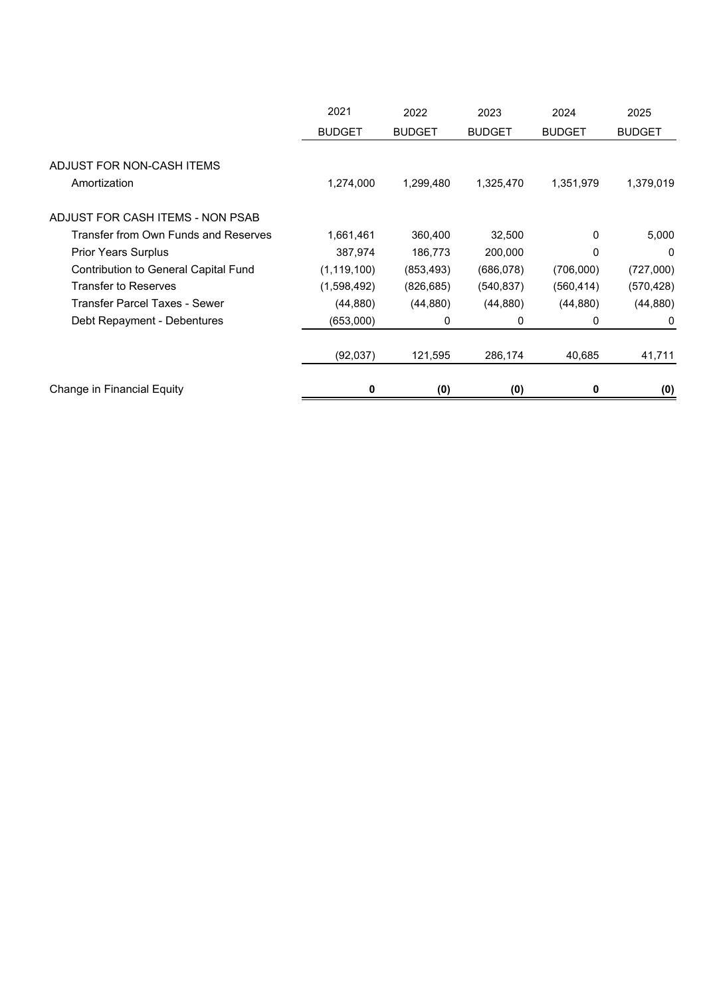|                                           | 2021          | 2022          | 2023          | 2024          | 2025          |
|-------------------------------------------|---------------|---------------|---------------|---------------|---------------|
|                                           | <b>BUDGET</b> | <b>BUDGET</b> | <b>BUDGET</b> | <b>BUDGET</b> | <b>BUDGET</b> |
| ADJUST FOR NON-CASH ITEMS<br>Amortization | 1,274,000     | 1,299,480     | 1,325,470     | 1,351,979     | 1,379,019     |
| ADJUST FOR CASH ITEMS - NON PSAB          |               |               |               |               |               |
| Transfer from Own Funds and Reserves      | 1,661,461     | 360,400       | 32,500        | 0             | 5,000         |
| <b>Prior Years Surplus</b>                | 387,974       | 186,773       | 200,000       | 0             | 0             |
| Contribution to General Capital Fund      | (1, 119, 100) | (853, 493)    | (686,078)     | (706,000)     | (727,000)     |
| <b>Transfer to Reserves</b>               | (1,598,492)   | (826, 685)    | (540, 837)    | (560,414)     | (570, 428)    |
| Transfer Parcel Taxes - Sewer             | (44, 880)     | (44, 880)     | (44, 880)     | (44, 880)     | (44, 880)     |
| Debt Repayment - Debentures               | (653,000)     | 0             | 0             | 0             | 0             |
|                                           | (92,037)      | 121,595       | 286,174       | 40,685        | 41,711        |
| Change in Financial Equity                | 0             | (0)           | (0)           | 0             | (0)           |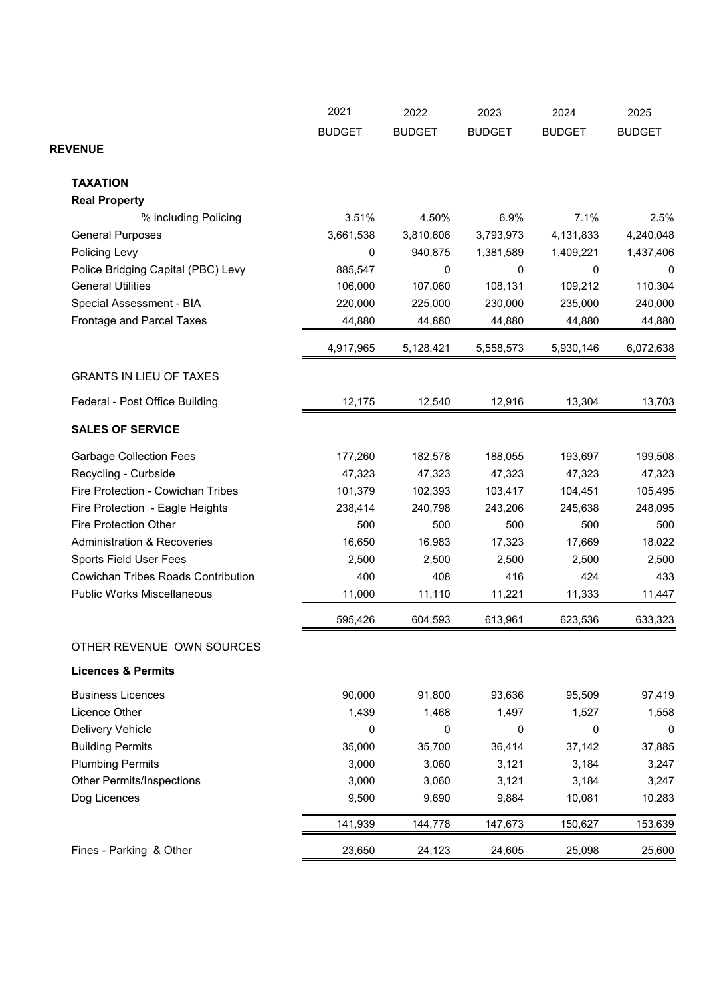|                                           | 2021          | 2022          | 2023            | 2024            | 2025          |
|-------------------------------------------|---------------|---------------|-----------------|-----------------|---------------|
|                                           | <b>BUDGET</b> | <b>BUDGET</b> | <b>BUDGET</b>   | <b>BUDGET</b>   | <b>BUDGET</b> |
| <b>REVENUE</b>                            |               |               |                 |                 |               |
|                                           |               |               |                 |                 |               |
| <b>TAXATION</b>                           |               |               |                 |                 |               |
| <b>Real Property</b>                      |               |               |                 |                 |               |
| % including Policing                      | 3.51%         | 4.50%         | 6.9%            | 7.1%            | 2.5%          |
| <b>General Purposes</b>                   | 3,661,538     | 3,810,606     | 3,793,973       | 4,131,833       | 4,240,048     |
| Policing Levy                             | $\mathbf 0$   | 940,875       | 1,381,589       | 1,409,221       | 1,437,406     |
| Police Bridging Capital (PBC) Levy        | 885,547       | 0             | 0               | 0               | 0             |
| <b>General Utilities</b>                  | 106,000       | 107,060       | 108,131         | 109,212         | 110,304       |
| Special Assessment - BIA                  | 220,000       | 225,000       | 230,000         | 235,000         | 240,000       |
| Frontage and Parcel Taxes                 | 44,880        | 44,880        | 44,880          | 44,880          | 44,880        |
|                                           | 4,917,965     | 5,128,421     | 5,558,573       | 5,930,146       | 6,072,638     |
| <b>GRANTS IN LIEU OF TAXES</b>            |               |               |                 |                 |               |
| Federal - Post Office Building            | 12,175        | 12,540        | 12,916          | 13,304          | 13,703        |
| <b>SALES OF SERVICE</b>                   |               |               |                 |                 |               |
| <b>Garbage Collection Fees</b>            | 177,260       | 182,578       | 188,055         | 193,697         | 199,508       |
| Recycling - Curbside                      | 47,323        | 47,323        | 47,323          | 47,323          | 47,323        |
| Fire Protection - Cowichan Tribes         | 101,379       | 102,393       | 103,417         | 104,451         | 105,495       |
| Fire Protection - Eagle Heights           | 238,414       | 240,798       | 243,206         | 245,638         | 248,095       |
| <b>Fire Protection Other</b>              | 500           | 500           | 500             | 500             | 500           |
| <b>Administration &amp; Recoveries</b>    | 16,650        | 16,983        | 17,323          | 17,669          | 18,022        |
| Sports Field User Fees                    | 2,500         | 2,500         | 2,500           | 2,500           | 2,500         |
| <b>Cowichan Tribes Roads Contribution</b> | 400           | 408           | 416             | 424             | 433           |
| <b>Public Works Miscellaneous</b>         | 11,000        | 11,110        | 11,221          | 11,333          | 11,447        |
|                                           | 595,426       | 604,593       | 613,961         | 623,536         | 633,323       |
| OTHER REVENUE OWN SOURCES                 |               |               |                 |                 |               |
| <b>Licences &amp; Permits</b>             |               |               |                 |                 |               |
| <b>Business Licences</b>                  | 90,000        |               |                 |                 |               |
| Licence Other                             | 1,439         | 91,800        | 93,636<br>1,497 | 95,509<br>1,527 | 97,419        |
|                                           |               | 1,468         |                 |                 | 1,558         |
| Delivery Vehicle                          | 0             | 0             | 0               | 0               | 0             |
| <b>Building Permits</b>                   | 35,000        | 35,700        | 36,414          | 37,142          | 37,885        |
| <b>Plumbing Permits</b>                   | 3,000         | 3,060         | 3,121           | 3,184           | 3,247         |
| <b>Other Permits/Inspections</b>          | 3,000         | 3,060         | 3,121           | 3,184           | 3,247         |
| Dog Licences                              | 9,500         | 9,690         | 9,884           | 10,081          | 10,283        |
|                                           | 141,939       | 144,778       | 147,673         | 150,627         | 153,639       |
| Fines - Parking & Other                   | 23,650        | 24,123        | 24,605          | 25,098          | 25,600        |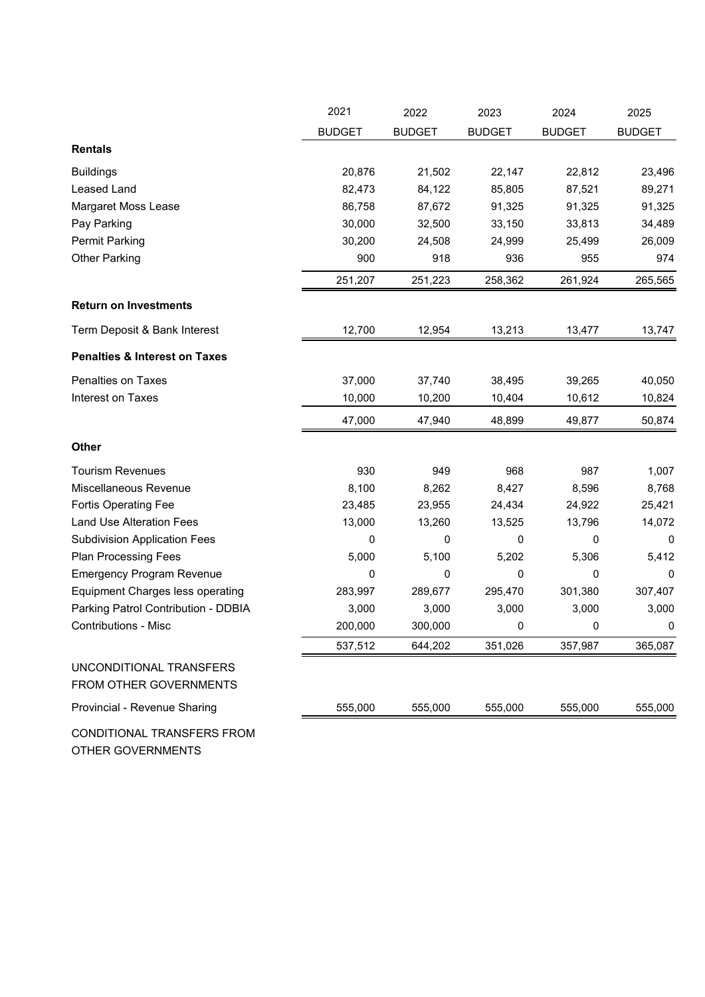|                                                   | 2021          | 2022          | 2023          | 2024          | 2025          |
|---------------------------------------------------|---------------|---------------|---------------|---------------|---------------|
|                                                   | <b>BUDGET</b> | <b>BUDGET</b> | <b>BUDGET</b> | <b>BUDGET</b> | <b>BUDGET</b> |
| <b>Rentals</b>                                    |               |               |               |               |               |
| <b>Buildings</b>                                  | 20,876        | 21,502        | 22,147        | 22,812        | 23,496        |
| <b>Leased Land</b>                                | 82,473        | 84,122        | 85,805        | 87,521        | 89,271        |
| Margaret Moss Lease                               | 86,758        | 87,672        | 91,325        | 91,325        | 91,325        |
| Pay Parking                                       | 30,000        | 32,500        | 33,150        | 33,813        | 34,489        |
| <b>Permit Parking</b>                             | 30,200        | 24,508        | 24,999        | 25,499        | 26,009        |
| <b>Other Parking</b>                              | 900           | 918           | 936           | 955           | 974           |
|                                                   | 251,207       | 251,223       | 258,362       | 261,924       | 265,565       |
| <b>Return on Investments</b>                      |               |               |               |               |               |
| Term Deposit & Bank Interest                      | 12,700        | 12,954        | 13,213        | 13,477        | 13,747        |
| <b>Penalties &amp; Interest on Taxes</b>          |               |               |               |               |               |
| <b>Penalties on Taxes</b>                         | 37,000        | 37,740        | 38,495        | 39,265        | 40,050        |
| Interest on Taxes                                 | 10,000        | 10,200        | 10,404        | 10,612        | 10,824        |
|                                                   | 47,000        | 47,940        | 48,899        | 49,877        | 50,874        |
| Other                                             |               |               |               |               |               |
| <b>Tourism Revenues</b>                           | 930           | 949           | 968           | 987           | 1,007         |
| Miscellaneous Revenue                             | 8,100         | 8,262         | 8,427         | 8,596         | 8,768         |
| <b>Fortis Operating Fee</b>                       | 23,485        | 23,955        | 24,434        | 24,922        | 25,421        |
| <b>Land Use Alteration Fees</b>                   | 13,000        | 13,260        | 13,525        | 13,796        | 14,072        |
| <b>Subdivision Application Fees</b>               | 0             | 0             | 0             | 0             | 0             |
| <b>Plan Processing Fees</b>                       | 5,000         | 5,100         | 5,202         | 5,306         | 5,412         |
| <b>Emergency Program Revenue</b>                  | 0             | 0             | 0             | 0             | $\mathbf 0$   |
| <b>Equipment Charges less operating</b>           | 283,997       | 289,677       | 295,470       | 301,380       | 307,407       |
| Parking Patrol Contribution - DDBIA               | 3,000         | 3,000         | 3,000         | 3,000         | 3,000         |
| <b>Contributions - Misc</b>                       | 200,000       | 300,000       | 0             | 0             | 0             |
|                                                   | 537,512       | 644,202       | 351,026       | 357,987       | 365,087       |
| UNCONDITIONAL TRANSFERS<br>FROM OTHER GOVERNMENTS |               |               |               |               |               |
| Provincial - Revenue Sharing                      | 555,000       | 555,000       | 555,000       | 555,000       | 555,000       |
| CONDITIONAL TRANSFERS FROM<br>OTHER GOVERNMENTS   |               |               |               |               |               |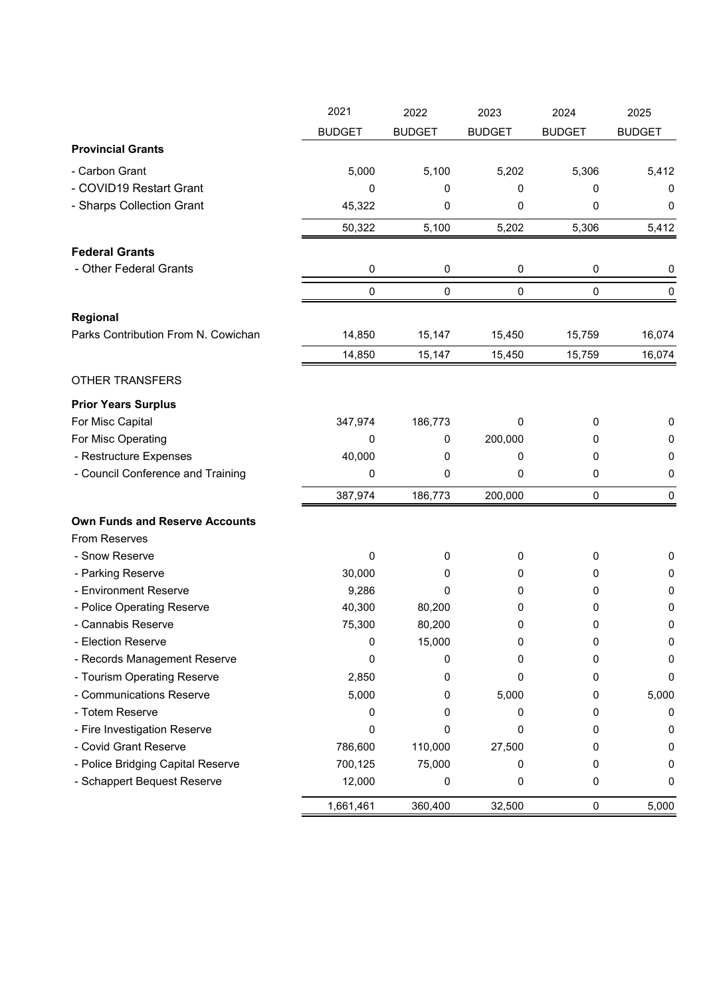|                                       | 2021          | 2022          | 2023          | 2024          | 2025          |
|---------------------------------------|---------------|---------------|---------------|---------------|---------------|
|                                       | <b>BUDGET</b> | <b>BUDGET</b> | <b>BUDGET</b> | <b>BUDGET</b> | <b>BUDGET</b> |
| <b>Provincial Grants</b>              |               |               |               |               |               |
| - Carbon Grant                        | 5,000         | 5,100         | 5,202         | 5,306         | 5,412         |
| - COVID19 Restart Grant               | 0             | 0             | 0             | 0             | 0             |
| - Sharps Collection Grant             | 45,322        | 0             | 0             | 0             | $\mathbf 0$   |
|                                       | 50,322        | 5,100         | 5,202         | 5,306         | 5,412         |
| <b>Federal Grants</b>                 |               |               |               |               |               |
| - Other Federal Grants                | 0             | 0             | 0             | 0             | 0             |
|                                       |               |               |               |               |               |
|                                       | $\pmb{0}$     | $\pmb{0}$     | 0             | $\pmb{0}$     | $\mathbf 0$   |
| Regional                              |               |               |               |               |               |
| Parks Contribution From N. Cowichan   | 14,850        | 15,147        | 15,450        | 15,759        | 16,074        |
|                                       | 14,850        | 15,147        | 15,450        | 15,759        | 16,074        |
| <b>OTHER TRANSFERS</b>                |               |               |               |               |               |
| <b>Prior Years Surplus</b>            |               |               |               |               |               |
| For Misc Capital                      | 347,974       | 186,773       | 0             | 0             | 0             |
| For Misc Operating                    | 0             | 0             | 200,000       | 0             | 0             |
| - Restructure Expenses                | 40,000        | 0             | 0             | 0             | 0             |
| - Council Conference and Training     | 0             | 0             | 0             | 0             | 0             |
|                                       | 387,974       | 186,773       | 200,000       | 0             | 0             |
| <b>Own Funds and Reserve Accounts</b> |               |               |               |               |               |
| <b>From Reserves</b>                  |               |               |               |               |               |
| - Snow Reserve                        | 0             | 0             | 0             | 0             | 0             |
| - Parking Reserve                     | 30,000        | 0             | 0             | 0             | 0             |
| - Environment Reserve                 | 9,286         | 0             | 0             | 0             | 0             |
| - Police Operating Reserve            | 40,300        | 80,200        | 0             | 0             | 0             |
| - Cannabis Reserve                    | 75,300        | 80,200        | 0             | 0             | 0             |
| - Election Reserve                    | 0             | 15,000        | 0             | 0             | 0             |
| - Records Management Reserve          | 0             | 0             | 0             | 0             | 0             |
| - Tourism Operating Reserve           | 2,850         | 0             | 0             | 0             | 0             |
| - Communications Reserve              | 5,000         | 0             | 5,000         | 0             | 5,000         |
| - Totem Reserve                       | 0             | 0             | 0             | 0             | 0             |
| - Fire Investigation Reserve          | 0             | 0             | 0             | 0             | 0             |
| - Covid Grant Reserve                 | 786,600       | 110,000       | 27,500        | 0             | 0             |
| - Police Bridging Capital Reserve     | 700,125       | 75,000        | 0             | 0             | 0             |
| - Schappert Bequest Reserve           | 12,000        | 0             | 0             | 0             | 0             |
|                                       | 1,661,461     | 360,400       | 32,500        | $\pmb{0}$     | 5,000         |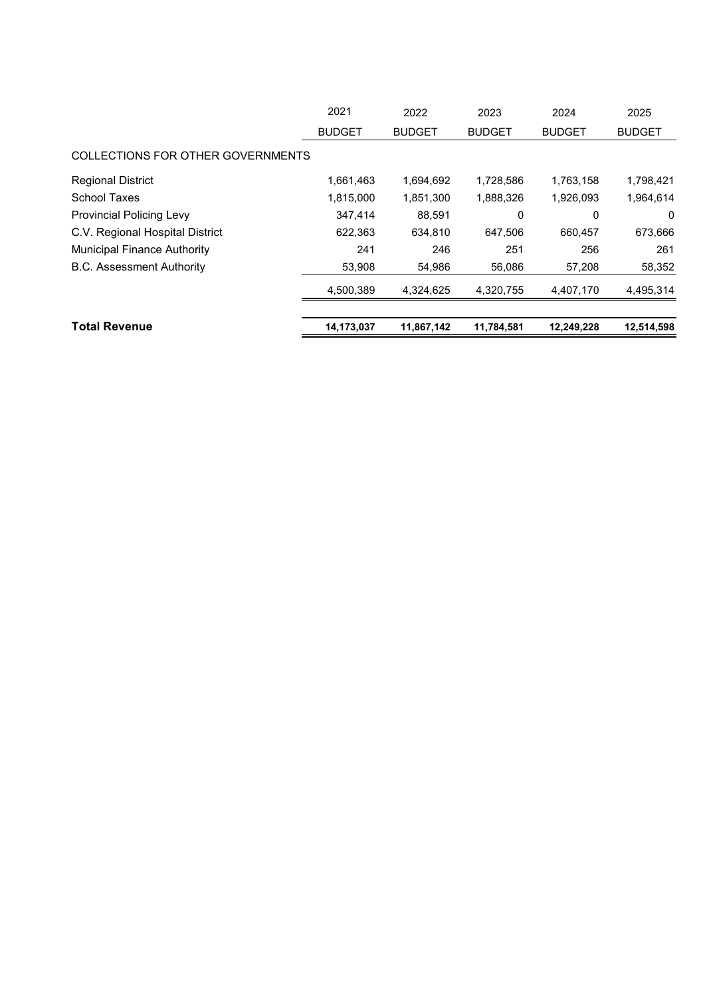| <b>Total Revenue</b>               | 14,173,037    | 11,867,142    | 11,784,581    | 12,249,228    | 12,514,598    |
|------------------------------------|---------------|---------------|---------------|---------------|---------------|
|                                    | 4,500,389     | 4.324.625     | 4,320,755     | 4,407,170     | 4,495,314     |
| <b>B.C. Assessment Authority</b>   | 53,908        | 54,986        | 56,086        | 57,208        | 58,352        |
| <b>Municipal Finance Authority</b> | 241           | 246           | 251           | 256           | 261           |
| C.V. Regional Hospital District    | 622,363       | 634,810       | 647,506       | 660.457       | 673,666       |
| <b>Provincial Policing Levy</b>    | 347,414       | 88,591        | 0             | 0             | $\Omega$      |
| <b>School Taxes</b>                | 1,815,000     | 1,851,300     | 1,888,326     | 1,926,093     | 1,964,614     |
| <b>Regional District</b>           | 1,661,463     | 1,694,692     | 1,728,586     | 1,763,158     | 1,798,421     |
| COLLECTIONS FOR OTHER GOVERNMENTS  |               |               |               |               |               |
|                                    | <b>BUDGET</b> | <b>BUDGET</b> | <b>BUDGET</b> | <b>BUDGET</b> | <b>BUDGET</b> |
|                                    | 2021          | 2022          | 2023          | 2024          | 2025          |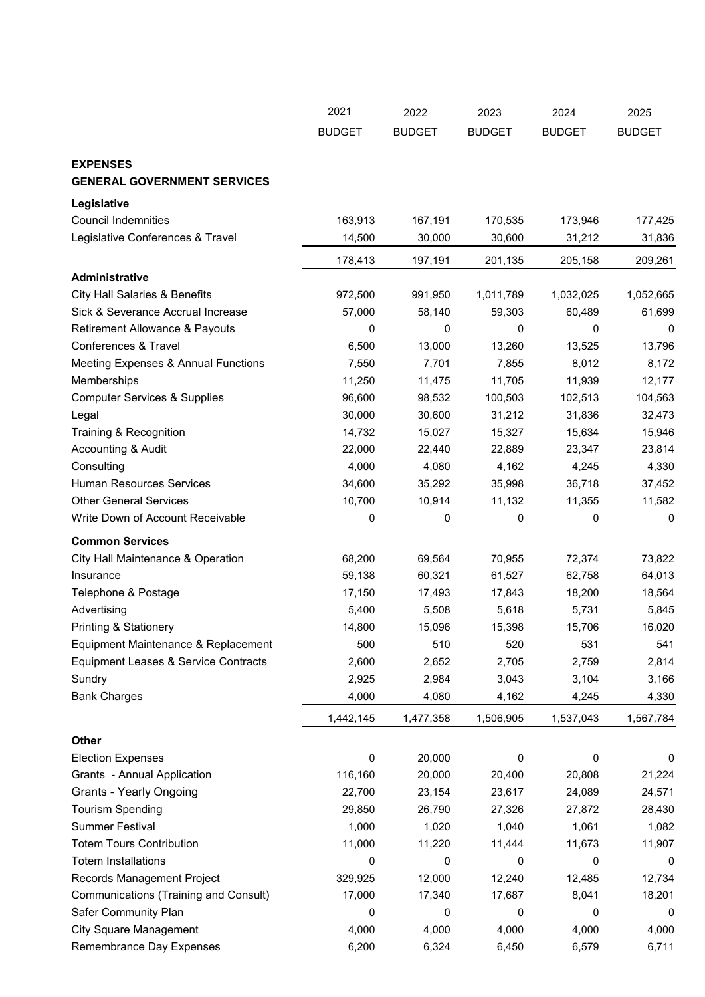|                                                       | 2021          | 2022          | 2023          | 2024          | 2025          |
|-------------------------------------------------------|---------------|---------------|---------------|---------------|---------------|
|                                                       | <b>BUDGET</b> | <b>BUDGET</b> | <b>BUDGET</b> | <b>BUDGET</b> | <b>BUDGET</b> |
|                                                       |               |               |               |               |               |
| <b>EXPENSES</b><br><b>GENERAL GOVERNMENT SERVICES</b> |               |               |               |               |               |
| Legislative                                           |               |               |               |               |               |
| <b>Council Indemnities</b>                            | 163,913       | 167,191       | 170,535       | 173,946       | 177,425       |
| Legislative Conferences & Travel                      | 14,500        | 30,000        | 30,600        | 31,212        | 31,836        |
|                                                       | 178,413       | 197,191       | 201,135       | 205,158       | 209,261       |
| Administrative                                        |               |               |               |               |               |
| <b>City Hall Salaries &amp; Benefits</b>              | 972,500       | 991,950       | 1,011,789     | 1,032,025     | 1,052,665     |
| Sick & Severance Accrual Increase                     | 57,000        | 58,140        | 59,303        | 60,489        | 61,699        |
| Retirement Allowance & Payouts                        | 0             | 0             | 0             | 0             | 0             |
| Conferences & Travel                                  | 6,500         | 13,000        | 13,260        | 13,525        | 13,796        |
| Meeting Expenses & Annual Functions                   | 7,550         | 7,701         | 7,855         | 8,012         | 8,172         |
| Memberships                                           | 11,250        | 11,475        | 11,705        | 11,939        | 12,177        |
| <b>Computer Services &amp; Supplies</b>               | 96,600        | 98,532        | 100,503       | 102,513       | 104,563       |
| Legal                                                 | 30,000        | 30,600        | 31,212        | 31,836        | 32,473        |
| Training & Recognition                                | 14,732        | 15,027        | 15,327        | 15,634        | 15,946        |
| Accounting & Audit                                    | 22,000        | 22,440        | 22,889        | 23,347        | 23,814        |
| Consulting                                            | 4,000         | 4,080         | 4,162         | 4,245         | 4,330         |
| <b>Human Resources Services</b>                       | 34,600        | 35,292        | 35,998        | 36,718        | 37,452        |
| <b>Other General Services</b>                         | 10,700        | 10,914        | 11,132        | 11,355        | 11,582        |
| Write Down of Account Receivable                      | 0             | 0             | 0             | 0             | 0             |
| <b>Common Services</b>                                |               |               |               |               |               |
| City Hall Maintenance & Operation                     | 68,200        | 69,564        | 70,955        | 72,374        | 73,822        |
| Insurance                                             | 59,138        | 60,321        | 61,527        | 62,758        | 64,013        |
| Telephone & Postage                                   | 17,150        | 17,493        | 17,843        | 18,200        | 18,564        |
| Advertising                                           | 5,400         | 5,508         | 5,618         | 5,731         | 5,845         |
| Printing & Stationery                                 | 14,800        | 15,096        | 15,398        | 15,706        | 16,020        |
| Equipment Maintenance & Replacement                   | 500           | 510           | 520           | 531           | 541           |
| Equipment Leases & Service Contracts                  | 2,600         | 2,652         | 2,705         | 2,759         | 2,814         |
| Sundry                                                | 2,925         | 2,984         | 3,043         | 3,104         | 3,166         |
| <b>Bank Charges</b>                                   | 4,000         | 4,080         | 4,162         | 4,245         | 4,330         |
|                                                       | 1,442,145     | 1,477,358     | 1,506,905     | 1,537,043     | 1,567,784     |
| Other                                                 |               |               |               |               |               |
| <b>Election Expenses</b>                              | 0             | 20,000        | 0             | 0             | 0             |
| Grants - Annual Application                           | 116,160       | 20,000        | 20,400        | 20,808        | 21,224        |
| Grants - Yearly Ongoing                               | 22,700        | 23,154        | 23,617        | 24,089        | 24,571        |
| <b>Tourism Spending</b>                               | 29,850        | 26,790        | 27,326        | 27,872        | 28,430        |
| <b>Summer Festival</b>                                | 1,000         | 1,020         | 1,040         | 1,061         | 1,082         |
| <b>Totem Tours Contribution</b>                       | 11,000        | 11,220        | 11,444        | 11,673        | 11,907        |
| <b>Totem Installations</b>                            | 0             | 0             | 0             | 0             | 0             |
| Records Management Project                            | 329,925       | 12,000        | 12,240        | 12,485        | 12,734        |
| Communications (Training and Consult)                 | 17,000        | 17,340        | 17,687        | 8,041         | 18,201        |
| Safer Community Plan                                  | 0             | 0             | 0             | 0             | 0             |
| <b>City Square Management</b>                         | 4,000         | 4,000         | 4,000         | 4,000         | 4,000         |
| Remembrance Day Expenses                              | 6,200         | 6,324         | 6,450         | 6,579         | 6,711         |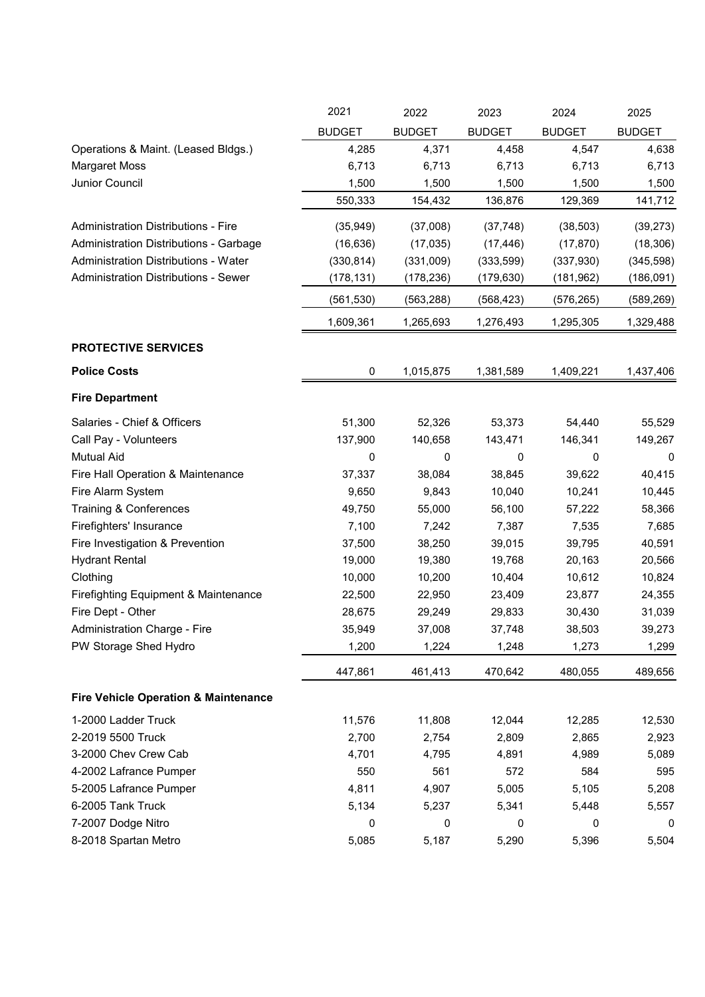|                                                 | 2021          | 2022          | 2023          | 2024          | 2025          |
|-------------------------------------------------|---------------|---------------|---------------|---------------|---------------|
|                                                 | <b>BUDGET</b> | <b>BUDGET</b> | <b>BUDGET</b> | <b>BUDGET</b> | <b>BUDGET</b> |
| Operations & Maint. (Leased Bldgs.)             | 4,285         | 4,371         | 4,458         | 4,547         | 4,638         |
| <b>Margaret Moss</b>                            | 6,713         | 6,713         | 6,713         | 6,713         | 6,713         |
| Junior Council                                  | 1,500         | 1,500         | 1,500         | 1,500         | 1,500         |
|                                                 | 550,333       | 154,432       | 136,876       | 129,369       | 141,712       |
| <b>Administration Distributions - Fire</b>      | (35, 949)     | (37,008)      | (37, 748)     | (38, 503)     | (39, 273)     |
| Administration Distributions - Garbage          | (16, 636)     | (17, 035)     | (17, 446)     | (17, 870)     | (18, 306)     |
| Administration Distributions - Water            | (330, 814)    | (331,009)     | (333,599)     | (337, 930)    | (345, 598)    |
| <b>Administration Distributions - Sewer</b>     | (178, 131)    | (178, 236)    | (179, 630)    | (181, 962)    | (186, 091)    |
|                                                 | (561, 530)    | (563, 288)    | (568, 423)    | (576, 265)    | (589, 269)    |
|                                                 | 1,609,361     | 1,265,693     | 1,276,493     | 1,295,305     | 1,329,488     |
|                                                 |               |               |               |               |               |
| <b>PROTECTIVE SERVICES</b>                      |               |               |               |               |               |
| <b>Police Costs</b>                             | 0             | 1,015,875     | 1,381,589     | 1,409,221     | 1,437,406     |
| <b>Fire Department</b>                          |               |               |               |               |               |
| Salaries - Chief & Officers                     | 51,300        | 52,326        | 53,373        | 54,440        | 55,529        |
| Call Pay - Volunteers                           | 137,900       | 140,658       | 143,471       | 146,341       | 149,267       |
| <b>Mutual Aid</b>                               | 0             | 0             | 0             | 0             | 0             |
| Fire Hall Operation & Maintenance               | 37,337        | 38,084        | 38,845        | 39,622        | 40,415        |
| Fire Alarm System                               | 9,650         | 9,843         | 10,040        | 10,241        | 10,445        |
| <b>Training &amp; Conferences</b>               | 49,750        | 55,000        | 56,100        | 57,222        | 58,366        |
| Firefighters' Insurance                         | 7,100         | 7,242         | 7,387         | 7,535         | 7,685         |
| Fire Investigation & Prevention                 | 37,500        | 38,250        | 39,015        | 39,795        | 40,591        |
| <b>Hydrant Rental</b>                           | 19,000        | 19,380        | 19,768        | 20,163        | 20,566        |
| Clothing                                        | 10,000        | 10,200        | 10,404        | 10,612        | 10,824        |
| <b>Firefighting Equipment &amp; Maintenance</b> | 22,500        | 22,950        | 23,409        | 23,877        | 24,355        |
| Fire Dept - Other                               | 28,675        | 29,249        | 29,833        | 30,430        | 31,039        |
| Administration Charge - Fire                    | 35,949        | 37,008        | 37,748        | 38,503        | 39,273        |
| PW Storage Shed Hydro                           | 1,200         | 1,224         | 1,248         | 1,273         | 1,299         |
|                                                 | 447,861       | 461,413       | 470,642       | 480,055       | 489,656       |
| <b>Fire Vehicle Operation &amp; Maintenance</b> |               |               |               |               |               |
| 1-2000 Ladder Truck                             | 11,576        | 11,808        | 12,044        | 12,285        | 12,530        |
| 2-2019 5500 Truck                               | 2,700         | 2,754         | 2,809         | 2,865         | 2,923         |
| 3-2000 Chev Crew Cab                            | 4,701         | 4,795         | 4,891         | 4,989         | 5,089         |
| 4-2002 Lafrance Pumper                          | 550           | 561           | 572           | 584           | 595           |
| 5-2005 Lafrance Pumper                          | 4,811         | 4,907         | 5,005         | 5,105         | 5,208         |
| 6-2005 Tank Truck                               | 5,134         | 5,237         | 5,341         | 5,448         | 5,557         |
| 7-2007 Dodge Nitro                              | 0             | 0             | 0             | 0             | 0             |
| 8-2018 Spartan Metro                            | 5,085         | 5,187         | 5,290         | 5,396         | 5,504         |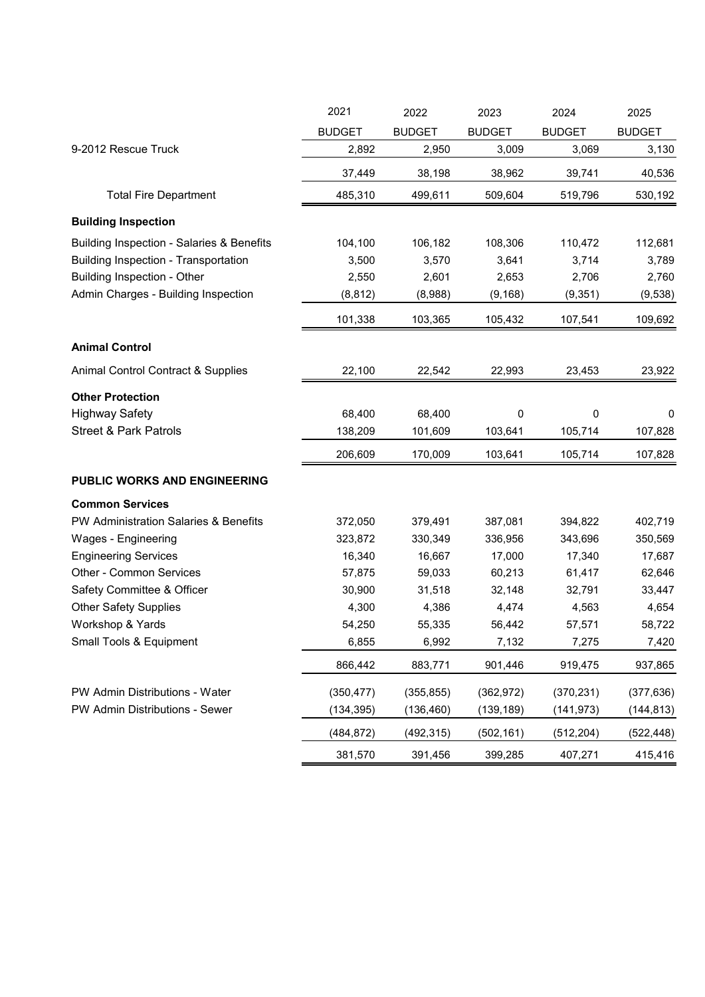|                                           | 2021          | 2022          | 2023          | 2024          | 2025          |
|-------------------------------------------|---------------|---------------|---------------|---------------|---------------|
|                                           | <b>BUDGET</b> | <b>BUDGET</b> | <b>BUDGET</b> | <b>BUDGET</b> | <b>BUDGET</b> |
| 9-2012 Rescue Truck                       | 2,892         | 2,950         | 3,009         | 3,069         | 3,130         |
|                                           | 37,449        | 38,198        | 38,962        | 39,741        | 40,536        |
| <b>Total Fire Department</b>              | 485,310       | 499,611       | 509,604       | 519,796       | 530,192       |
| <b>Building Inspection</b>                |               |               |               |               |               |
| Building Inspection - Salaries & Benefits | 104,100       | 106,182       | 108,306       | 110,472       | 112,681       |
| Building Inspection - Transportation      | 3,500         | 3,570         | 3,641         | 3,714         | 3,789         |
| Building Inspection - Other               | 2,550         | 2,601         | 2,653         | 2,706         | 2,760         |
| Admin Charges - Building Inspection       | (8, 812)      | (8,988)       | (9, 168)      | (9,351)       | (9,538)       |
|                                           | 101,338       | 103,365       | 105,432       | 107,541       | 109,692       |
| <b>Animal Control</b>                     |               |               |               |               |               |
| Animal Control Contract & Supplies        | 22,100        | 22,542        | 22,993        | 23,453        | 23,922        |
| <b>Other Protection</b>                   |               |               |               |               |               |
| <b>Highway Safety</b>                     | 68,400        | 68,400        | 0             | 0             | $\Omega$      |
| <b>Street &amp; Park Patrols</b>          | 138,209       | 101,609       | 103,641       | 105,714       | 107,828       |
|                                           | 206,609       | 170,009       | 103,641       | 105,714       | 107,828       |
| PUBLIC WORKS AND ENGINEERING              |               |               |               |               |               |
| <b>Common Services</b>                    |               |               |               |               |               |
| PW Administration Salaries & Benefits     | 372,050       | 379,491       | 387,081       | 394,822       | 402,719       |
| Wages - Engineering                       | 323,872       | 330,349       | 336,956       | 343,696       | 350,569       |
| <b>Engineering Services</b>               | 16,340        | 16,667        | 17,000        | 17,340        | 17,687        |
| Other - Common Services                   | 57,875        | 59,033        | 60,213        | 61,417        | 62,646        |
| Safety Committee & Officer                | 30,900        | 31,518        | 32,148        | 32,791        | 33,447        |
| <b>Other Safety Supplies</b>              | 4,300         | 4,386         | 4,474         | 4,563         | 4,654         |
| Workshop & Yards                          | 54,250        | 55,335        | 56,442        | 57,571        | 58,722        |
| Small Tools & Equipment                   | 6,855         | 6,992         | 7,132         | 7,275         | 7,420         |
|                                           | 866,442       | 883,771       | 901,446       | 919,475       | 937,865       |
| PW Admin Distributions - Water            | (350, 477)    | (355, 855)    | (362, 972)    | (370, 231)    | (377, 636)    |
| PW Admin Distributions - Sewer            | (134, 395)    | (136, 460)    | (139, 189)    | (141, 973)    | (144, 813)    |
|                                           |               |               |               |               |               |
|                                           | (484, 872)    | (492, 315)    | (502, 161)    | (512, 204)    | (522, 448)    |
|                                           | 381,570       | 391,456       | 399,285       | 407,271       | 415,416       |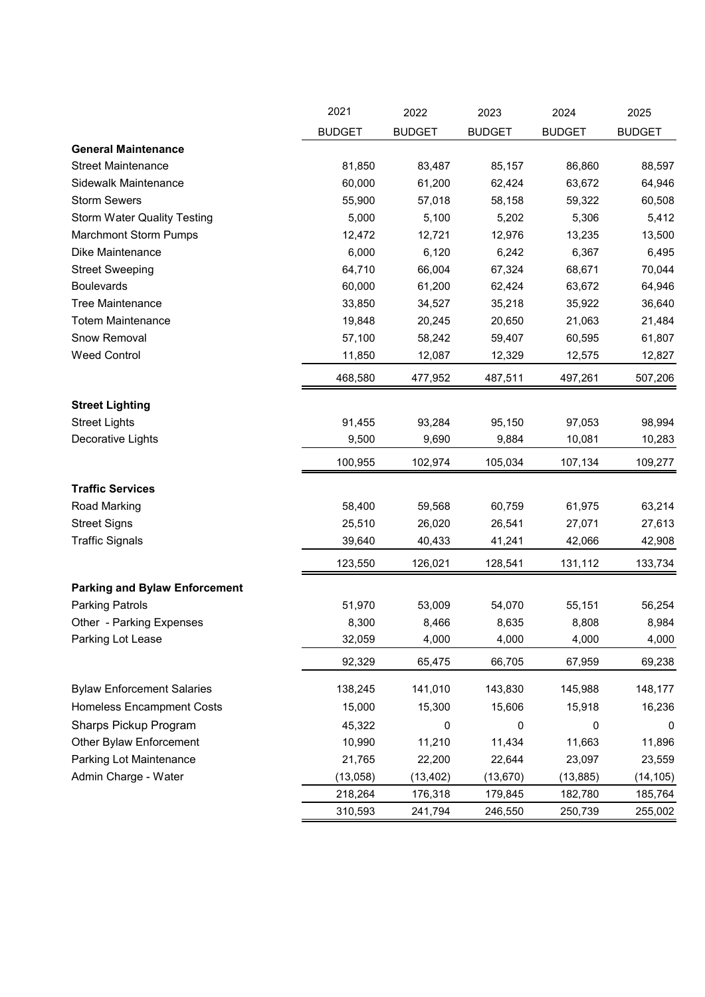|                                      | 2021          | 2022          | 2023          | 2024          | 2025          |
|--------------------------------------|---------------|---------------|---------------|---------------|---------------|
|                                      | <b>BUDGET</b> | <b>BUDGET</b> | <b>BUDGET</b> | <b>BUDGET</b> | <b>BUDGET</b> |
| <b>General Maintenance</b>           |               |               |               |               |               |
| <b>Street Maintenance</b>            | 81,850        | 83,487        | 85,157        | 86,860        | 88,597        |
| Sidewalk Maintenance                 | 60,000        | 61,200        | 62,424        | 63,672        | 64,946        |
| <b>Storm Sewers</b>                  | 55,900        | 57,018        | 58,158        | 59,322        | 60,508        |
| <b>Storm Water Quality Testing</b>   | 5,000         | 5,100         | 5,202         | 5,306         | 5,412         |
| <b>Marchmont Storm Pumps</b>         | 12,472        | 12,721        | 12,976        | 13,235        | 13,500        |
| <b>Dike Maintenance</b>              | 6,000         | 6,120         | 6,242         | 6,367         | 6,495         |
| <b>Street Sweeping</b>               | 64,710        | 66,004        | 67,324        | 68,671        | 70,044        |
| <b>Boulevards</b>                    | 60,000        | 61,200        | 62,424        | 63,672        | 64,946        |
| <b>Tree Maintenance</b>              | 33,850        | 34,527        | 35,218        | 35,922        | 36,640        |
| <b>Totem Maintenance</b>             | 19,848        | 20,245        | 20,650        | 21,063        | 21,484        |
| Snow Removal                         | 57,100        | 58,242        | 59,407        | 60,595        | 61,807        |
| <b>Weed Control</b>                  | 11,850        | 12,087        | 12,329        | 12,575        | 12,827        |
|                                      | 468,580       | 477,952       | 487,511       | 497,261       | 507,206       |
| <b>Street Lighting</b>               |               |               |               |               |               |
| <b>Street Lights</b>                 | 91,455        | 93,284        | 95,150        | 97,053        | 98,994        |
| Decorative Lights                    | 9,500         | 9,690         | 9,884         | 10,081        | 10,283        |
|                                      | 100,955       | 102,974       | 105,034       | 107,134       | 109,277       |
| <b>Traffic Services</b>              |               |               |               |               |               |
| Road Marking                         | 58,400        | 59,568        | 60,759        | 61,975        | 63,214        |
| <b>Street Signs</b>                  | 25,510        | 26,020        | 26,541        | 27,071        | 27,613        |
| <b>Traffic Signals</b>               | 39,640        | 40,433        | 41,241        | 42,066        | 42,908        |
|                                      | 123,550       | 126,021       | 128,541       | 131,112       | 133,734       |
| <b>Parking and Bylaw Enforcement</b> |               |               |               |               |               |
| <b>Parking Patrols</b>               | 51,970        | 53,009        | 54,070        | 55,151        | 56,254        |
| Other - Parking Expenses             | 8,300         | 8,466         | 8,635         | 8,808         | 8,984         |
| Parking Lot Lease                    | 32,059        | 4,000         | 4,000         | 4,000         | 4,000         |
|                                      | 92,329        | 65,475        | 66,705        | 67,959        | 69,238        |
| <b>Bylaw Enforcement Salaries</b>    | 138,245       | 141,010       | 143,830       | 145,988       | 148,177       |
| <b>Homeless Encampment Costs</b>     | 15,000        | 15,300        | 15,606        | 15,918        | 16,236        |
| Sharps Pickup Program                | 45,322        | 0             | 0             | 0             | $\pmb{0}$     |
| Other Bylaw Enforcement              | 10,990        | 11,210        | 11,434        | 11,663        | 11,896        |
| Parking Lot Maintenance              | 21,765        | 22,200        | 22,644        | 23,097        | 23,559        |
| Admin Charge - Water                 | (13,058)      | (13, 402)     | (13, 670)     | (13, 885)     | (14, 105)     |
|                                      | 218,264       | 176,318       | 179,845       | 182,780       | 185,764       |
|                                      | 310,593       | 241,794       | 246,550       | 250,739       | 255,002       |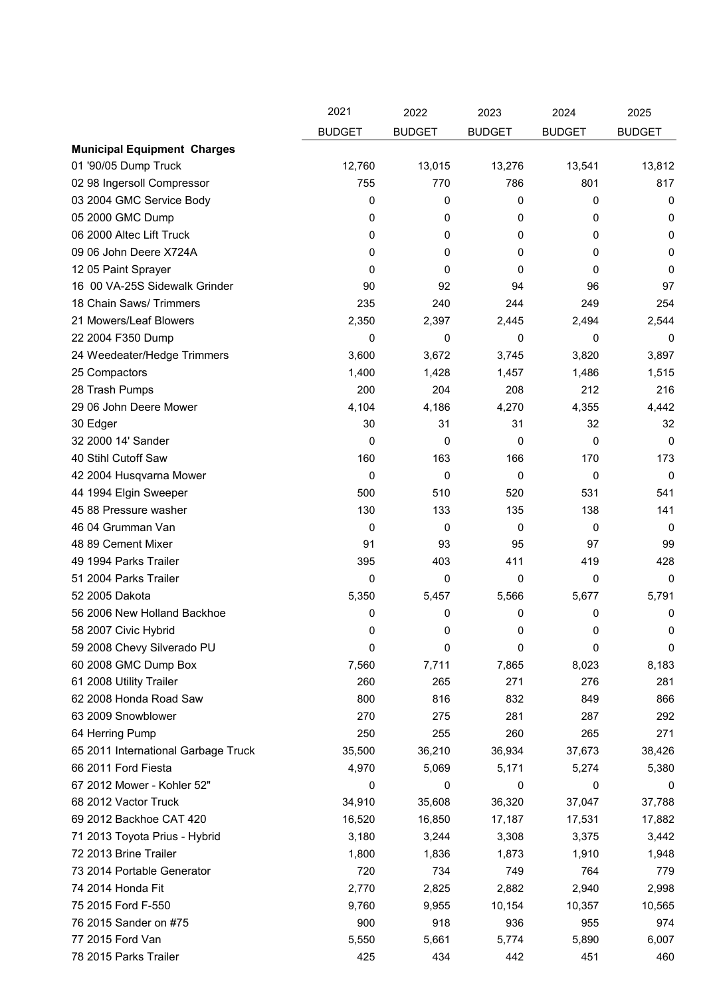|                                     | 2021          | 2022          | 2023          | 2024          | 2025          |
|-------------------------------------|---------------|---------------|---------------|---------------|---------------|
|                                     | <b>BUDGET</b> | <b>BUDGET</b> | <b>BUDGET</b> | <b>BUDGET</b> | <b>BUDGET</b> |
| <b>Municipal Equipment Charges</b>  |               |               |               |               |               |
| 01 '90/05 Dump Truck                | 12,760        | 13,015        | 13,276        | 13,541        | 13,812        |
| 02 98 Ingersoll Compressor          | 755           | 770           | 786           | 801           | 817           |
| 03 2004 GMC Service Body            | 0             | 0             | 0             | 0             | 0             |
| 05 2000 GMC Dump                    | 0             | 0             | 0             | 0             | 0             |
| 06 2000 Altec Lift Truck            | 0             | 0             | 0             | 0             | 0             |
| 09 06 John Deere X724A              | 0             | 0             | 0             | 0             | 0             |
| 12 05 Paint Sprayer                 | 0             | 0             | 0             | 0             | 0             |
| 16 00 VA-25S Sidewalk Grinder       | 90            | 92            | 94            | 96            | 97            |
| 18 Chain Saws/ Trimmers             | 235           | 240           | 244           | 249           | 254           |
| 21 Mowers/Leaf Blowers              | 2,350         | 2,397         | 2,445         | 2,494         | 2,544         |
| 22 2004 F350 Dump                   | 0             | 0             | 0             | 0             | 0             |
| 24 Weedeater/Hedge Trimmers         | 3,600         | 3,672         | 3,745         | 3,820         | 3,897         |
| 25 Compactors                       | 1,400         | 1,428         | 1,457         | 1,486         | 1,515         |
| 28 Trash Pumps                      | 200           | 204           | 208           | 212           | 216           |
| 29 06 John Deere Mower              | 4,104         | 4,186         | 4,270         | 4,355         | 4,442         |
| 30 Edger                            | 30            | 31            | 31            | 32            | 32            |
| 32 2000 14' Sander                  | 0             | 0             | 0             | $\Omega$      | 0             |
| 40 Stihl Cutoff Saw                 | 160           | 163           | 166           | 170           | 173           |
| 42 2004 Husqvarna Mower             | 0             | 0             | 0             | 0             | $\mathbf 0$   |
| 44 1994 Elgin Sweeper               | 500           | 510           | 520           | 531           | 541           |
| 45 88 Pressure washer               | 130           | 133           | 135           | 138           | 141           |
| 46 04 Grumman Van                   | 0             | 0             | 0             | 0             | 0             |
| 48 89 Cement Mixer                  | 91            | 93            | 95            | 97            | 99            |
| 49 1994 Parks Trailer               | 395           | 403           | 411           | 419           | 428           |
| 51 2004 Parks Trailer               | 0             | 0             | 0             | 0             | $\Omega$      |
| 52 2005 Dakota                      | 5,350         | 5,457         | 5,566         | 5,677         | 5,791         |
| 56 2006 New Holland Backhoe         | 0             | 0             | 0             | 0             | 0             |
| 58 2007 Civic Hybrid                | 0             | 0             | 0             | 0             | 0             |
| 59 2008 Chevy Silverado PU          | 0             | 0             | 0             | 0             | 0             |
| 60 2008 GMC Dump Box                | 7,560         | 7,711         | 7,865         | 8,023         | 8,183         |
| 61 2008 Utility Trailer             | 260           | 265           | 271           | 276           | 281           |
| 62 2008 Honda Road Saw              | 800           | 816           | 832           | 849           | 866           |
| 63 2009 Snowblower                  | 270           | 275           | 281           | 287           | 292           |
| 64 Herring Pump                     | 250           | 255           | 260           | 265           | 271           |
| 65 2011 International Garbage Truck | 35,500        | 36,210        | 36,934        | 37,673        | 38,426        |
| 66 2011 Ford Fiesta                 | 4,970         | 5,069         | 5,171         | 5,274         | 5,380         |
| 67 2012 Mower - Kohler 52"          | 0             | 0             | 0             | 0             | 0             |
| 68 2012 Vactor Truck                | 34,910        | 35,608        | 36,320        | 37,047        | 37,788        |
| 69 2012 Backhoe CAT 420             | 16,520        | 16,850        | 17,187        | 17,531        | 17,882        |
| 71 2013 Toyota Prius - Hybrid       | 3,180         | 3,244         | 3,308         | 3,375         | 3,442         |
| 72 2013 Brine Trailer               | 1,800         | 1,836         | 1,873         | 1,910         | 1,948         |
| 73 2014 Portable Generator          | 720           | 734           | 749           | 764           | 779           |
| 74 2014 Honda Fit                   | 2,770         | 2,825         | 2,882         | 2,940         | 2,998         |
| 75 2015 Ford F-550                  | 9,760         | 9,955         | 10,154        | 10,357        | 10,565        |
| 76 2015 Sander on #75               | 900           | 918           | 936           | 955           | 974           |
| 77 2015 Ford Van                    | 5,550         | 5,661         | 5,774         | 5,890         | 6,007         |
| 78 2015 Parks Trailer               | 425           | 434           | 442           | 451           | 460           |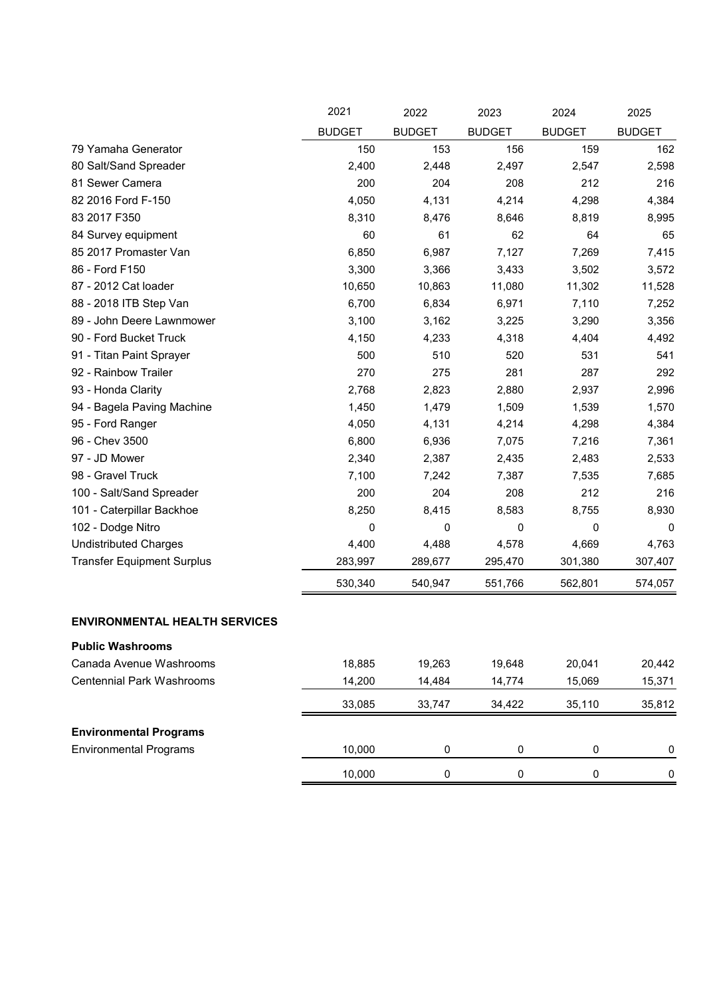|                                      | 2021          | 2022          | 2023          | 2024          | 2025          |
|--------------------------------------|---------------|---------------|---------------|---------------|---------------|
|                                      | <b>BUDGET</b> | <b>BUDGET</b> | <b>BUDGET</b> | <b>BUDGET</b> | <b>BUDGET</b> |
| 79 Yamaha Generator                  | 150           | 153           | 156           | 159           | 162           |
| 80 Salt/Sand Spreader                | 2,400         | 2,448         | 2,497         | 2,547         | 2,598         |
| 81 Sewer Camera                      | 200           | 204           | 208           | 212           | 216           |
| 82 2016 Ford F-150                   | 4,050         | 4,131         | 4,214         | 4,298         | 4,384         |
| 83 2017 F350                         | 8,310         | 8,476         | 8,646         | 8,819         | 8,995         |
| 84 Survey equipment                  | 60            | 61            | 62            | 64            | 65            |
| 85 2017 Promaster Van                | 6,850         | 6,987         | 7,127         | 7,269         | 7,415         |
| 86 - Ford F150                       | 3,300         | 3,366         | 3,433         | 3,502         | 3,572         |
| 87 - 2012 Cat loader                 | 10,650        | 10,863        | 11,080        | 11,302        | 11,528        |
| 88 - 2018 ITB Step Van               | 6,700         | 6,834         | 6,971         | 7,110         | 7,252         |
| 89 - John Deere Lawnmower            | 3,100         | 3,162         | 3,225         | 3,290         | 3,356         |
| 90 - Ford Bucket Truck               | 4,150         | 4,233         | 4,318         | 4,404         | 4,492         |
| 91 - Titan Paint Sprayer             | 500           | 510           | 520           | 531           | 541           |
| 92 - Rainbow Trailer                 | 270           | 275           | 281           | 287           | 292           |
| 93 - Honda Clarity                   | 2,768         | 2,823         | 2,880         | 2,937         | 2,996         |
| 94 - Bagela Paving Machine           | 1,450         | 1,479         | 1,509         | 1,539         | 1,570         |
| 95 - Ford Ranger                     | 4,050         | 4,131         | 4,214         | 4,298         | 4,384         |
| 96 - Chev 3500                       | 6,800         | 6,936         | 7,075         | 7,216         | 7,361         |
| 97 - JD Mower                        | 2,340         | 2,387         | 2,435         | 2,483         | 2,533         |
| 98 - Gravel Truck                    | 7,100         | 7,242         | 7,387         | 7,535         | 7,685         |
| 100 - Salt/Sand Spreader             | 200           | 204           | 208           | 212           | 216           |
| 101 - Caterpillar Backhoe            | 8,250         | 8,415         | 8,583         | 8,755         | 8,930         |
| 102 - Dodge Nitro                    | 0             | 0             | 0             | $\mathbf 0$   | $\Omega$      |
| <b>Undistributed Charges</b>         | 4,400         | 4,488         | 4,578         | 4,669         | 4,763         |
| <b>Transfer Equipment Surplus</b>    | 283,997       | 289,677       | 295,470       | 301,380       | 307,407       |
|                                      | 530,340       | 540,947       | 551,766       | 562,801       | 574,057       |
| <b>ENVIRONMENTAL HEALTH SERVICES</b> |               |               |               |               |               |
| <b>Public Washrooms</b>              |               |               |               |               |               |
| Canada Avenue Washrooms              | 18,885        | 19,263        | 19,648        | 20,041        | 20,442        |

| Canada Avenue Washrooms          | 18,885 | 19.263 | 19.648   | 20.041 | 20,442   |
|----------------------------------|--------|--------|----------|--------|----------|
| <b>Centennial Park Washrooms</b> | 14.200 | 14.484 | 14.774   | 15.069 | 15,371   |
|                                  | 33,085 | 33.747 | 34.422   | 35.110 | 35,812   |
| <b>Environmental Programs</b>    |        |        |          |        |          |
| <b>Environmental Programs</b>    | 10.000 | 0      | $\Omega$ | 0      | $\Omega$ |
|                                  | 10.000 | 0      | 0        | 0      | $\Omega$ |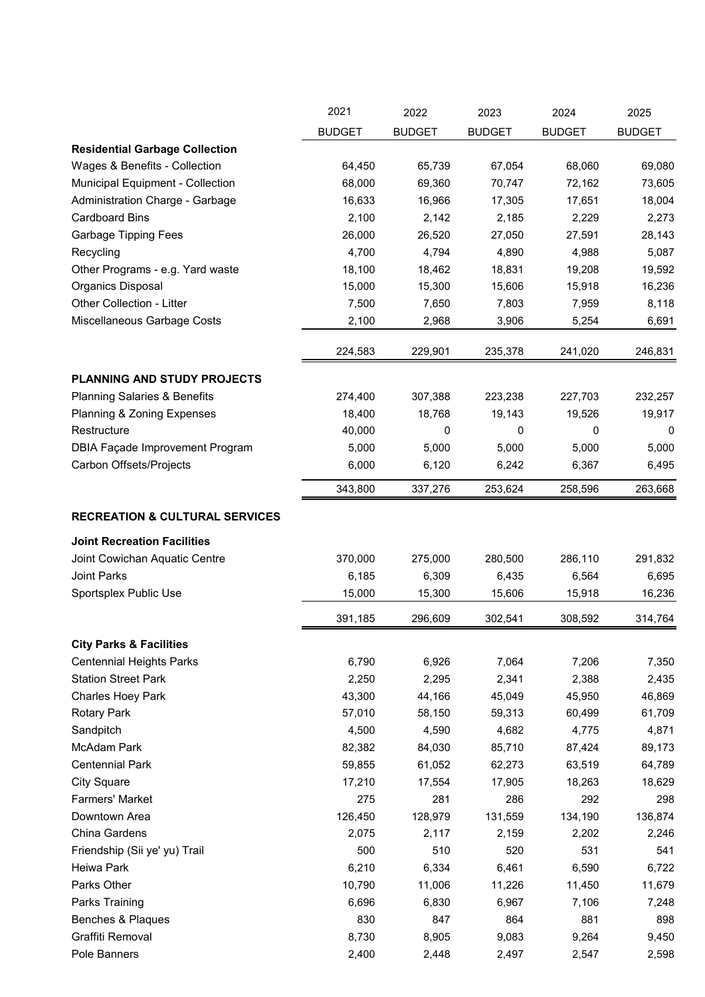|                                           | 2021            | 2022            | 2023          | 2024             | 2025          |
|-------------------------------------------|-----------------|-----------------|---------------|------------------|---------------|
|                                           | <b>BUDGET</b>   | <b>BUDGET</b>   | <b>BUDGET</b> | <b>BUDGET</b>    | <b>BUDGET</b> |
| <b>Residential Garbage Collection</b>     |                 |                 |               |                  |               |
| Wages & Benefits - Collection             | 64,450          | 65,739          | 67,054        | 68,060           | 69,080        |
| Municipal Equipment - Collection          | 68,000          | 69,360          | 70,747        | 72,162           | 73,605        |
| Administration Charge - Garbage           | 16,633          | 16,966          | 17,305        | 17,651           | 18,004        |
| <b>Cardboard Bins</b>                     | 2,100           | 2,142           | 2,185         | 2,229            | 2,273         |
| <b>Garbage Tipping Fees</b>               | 26,000          | 26,520          | 27,050        | 27,591           | 28,143        |
| Recycling                                 | 4,700           | 4,794           | 4,890         | 4,988            | 5,087         |
| Other Programs - e.g. Yard waste          | 18,100          | 18,462          | 18,831        | 19,208           | 19,592        |
| Organics Disposal                         | 15,000          | 15,300          | 15,606        | 15,918           | 16,236        |
| Other Collection - Litter                 | 7,500           | 7,650           | 7,803         | 7,959            | 8,118         |
| Miscellaneous Garbage Costs               | 2,100           | 2,968           | 3,906         | 5,254            | 6,691         |
|                                           |                 |                 |               |                  |               |
|                                           | 224,583         | 229,901         | 235,378       | 241,020          | 246,831       |
| PLANNING AND STUDY PROJECTS               |                 |                 |               |                  |               |
| <b>Planning Salaries &amp; Benefits</b>   | 274,400         | 307,388         | 223,238       | 227,703          | 232,257       |
| Planning & Zoning Expenses                | 18,400          | 18,768          | 19,143        | 19,526           | 19,917        |
| Restructure                               | 40,000          | 0               | 0             | 0                | 0             |
| <b>DBIA Façade Improvement Program</b>    | 5,000           | 5,000           | 5,000         | 5,000            | 5,000         |
| Carbon Offsets/Projects                   | 6,000           | 6,120           | 6,242         | 6,367            | 6,495         |
|                                           | 343,800         | 337,276         | 253,624       | 258,596          | 263,668       |
|                                           |                 |                 |               |                  |               |
| <b>RECREATION &amp; CULTURAL SERVICES</b> |                 |                 |               |                  |               |
| <b>Joint Recreation Facilities</b>        |                 |                 |               |                  |               |
| Joint Cowichan Aquatic Centre             | 370,000         | 275,000         | 280,500       | 286,110          | 291,832       |
| <b>Joint Parks</b>                        | 6,185           | 6,309           | 6,435         | 6,564            | 6,695         |
| Sportsplex Public Use                     | 15,000          | 15,300          | 15,606        | 15,918           | 16,236        |
|                                           | 391,185         | 296,609         | 302,541       | 308,592          | 314,764       |
| <b>City Parks &amp; Facilities</b>        |                 |                 |               |                  |               |
| <b>Centennial Heights Parks</b>           | 6,790           | 6,926           | 7,064         | 7,206            | 7,350         |
| <b>Station Street Park</b>                | 2,250           | 2,295           | 2,341         | 2,388            | 2,435         |
| Charles Hoey Park                         |                 |                 |               |                  |               |
|                                           | 43,300          | 44,166          | 45,049        | 45,950<br>60,499 | 46,869        |
| <b>Rotary Park</b><br>Sandpitch           | 57,010<br>4,500 | 58,150<br>4,590 | 59,313        |                  | 61,709        |
| <b>McAdam Park</b>                        |                 |                 | 4,682         | 4,775            | 4,871         |
|                                           | 82,382          | 84,030          | 85,710        | 87,424           | 89,173        |
| <b>Centennial Park</b>                    | 59,855          | 61,052          | 62,273        | 63,519           | 64,789        |
| <b>City Square</b>                        | 17,210          | 17,554          | 17,905        | 18,263           | 18,629        |
| Farmers' Market                           | 275             | 281             | 286           | 292              | 298           |
| Downtown Area                             | 126,450         | 128,979         | 131,559       | 134,190          | 136,874       |
| China Gardens                             | 2,075           | 2,117           | 2,159         | 2,202            | 2,246         |
| Friendship (Sii ye' yu) Trail             | 500             | 510             | 520           | 531              | 541           |
| Heiwa Park                                | 6,210           | 6,334           | 6,461         | 6,590            | 6,722         |
| Parks Other                               | 10,790          | 11,006          | 11,226        | 11,450           | 11,679        |
| Parks Training                            | 6,696           | 6,830           | 6,967         | 7,106            | 7,248         |
| Benches & Plaques                         | 830             | 847             | 864           | 881              | 898           |
| Graffiti Removal                          | 8,730           | 8,905           | 9,083         | 9,264            | 9,450         |
| Pole Banners                              | 2,400           | 2,448           | 2,497         | 2,547            | 2,598         |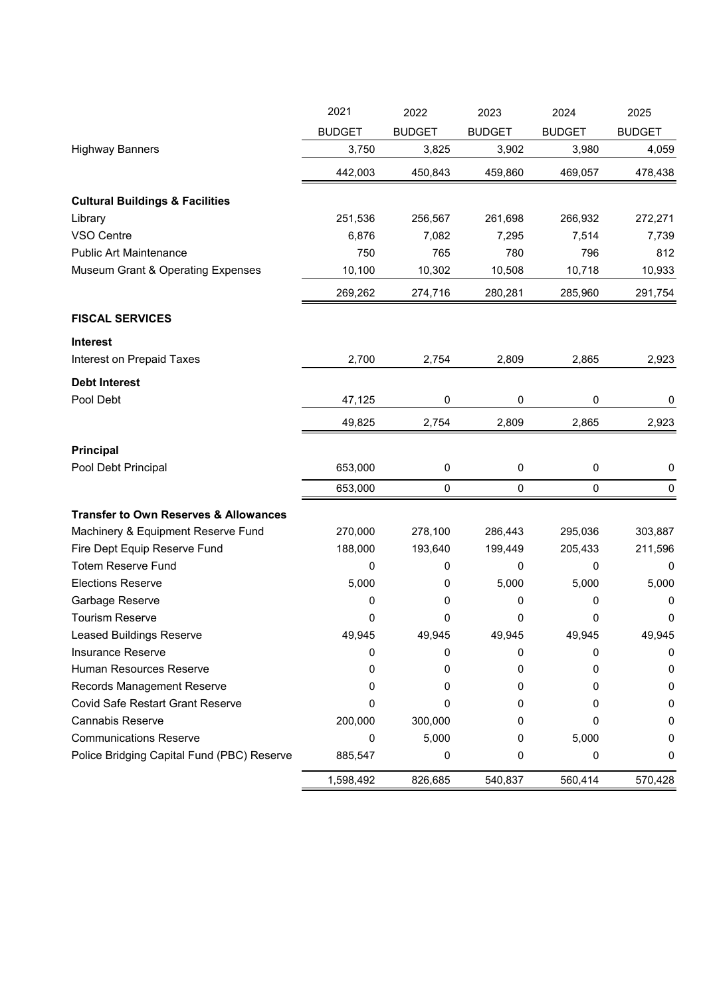|                                                  | 2021          | 2022          | 2023          | 2024          | 2025          |
|--------------------------------------------------|---------------|---------------|---------------|---------------|---------------|
|                                                  | <b>BUDGET</b> | <b>BUDGET</b> | <b>BUDGET</b> | <b>BUDGET</b> | <b>BUDGET</b> |
| <b>Highway Banners</b>                           | 3,750         | 3,825         | 3,902         | 3,980         | 4,059         |
|                                                  | 442,003       | 450,843       | 459,860       | 469,057       | 478,438       |
| <b>Cultural Buildings &amp; Facilities</b>       |               |               |               |               |               |
| Library                                          | 251,536       | 256,567       | 261,698       | 266,932       | 272,271       |
| VSO Centre                                       | 6,876         | 7,082         | 7,295         | 7,514         | 7,739         |
| <b>Public Art Maintenance</b>                    | 750           | 765           | 780           | 796           | 812           |
| <b>Museum Grant &amp; Operating Expenses</b>     | 10,100        | 10,302        | 10,508        | 10,718        | 10,933        |
|                                                  | 269,262       | 274,716       | 280,281       | 285,960       | 291,754       |
| <b>FISCAL SERVICES</b>                           |               |               |               |               |               |
| <b>Interest</b>                                  |               |               |               |               |               |
| Interest on Prepaid Taxes                        | 2,700         | 2,754         | 2,809         | 2,865         | 2,923         |
| <b>Debt Interest</b>                             |               |               |               |               |               |
| Pool Debt                                        | 47,125        | 0             | 0             | 0             | 0             |
|                                                  | 49,825        | 2,754         | 2,809         | 2,865         | 2,923         |
| Principal                                        |               |               |               |               |               |
| Pool Debt Principal                              | 653,000       | $\pmb{0}$     | 0             | 0             | $\pmb{0}$     |
|                                                  | 653,000       | 0             | 0             | $\mathbf 0$   | $\mathbf 0$   |
|                                                  |               |               |               |               |               |
| <b>Transfer to Own Reserves &amp; Allowances</b> |               |               |               |               |               |
| Machinery & Equipment Reserve Fund               | 270,000       | 278,100       | 286,443       | 295,036       | 303,887       |
| Fire Dept Equip Reserve Fund                     | 188,000       | 193,640       | 199,449       | 205,433       | 211,596       |
| <b>Totem Reserve Fund</b>                        | 0             | 0             | 0             | 0             | 0             |
| <b>Elections Reserve</b>                         | 5,000         | 0             | 5,000         | 5,000         | 5,000         |
| Garbage Reserve                                  | 0             | 0             | 0             | 0             | 0             |
| <b>Tourism Reserve</b>                           | 0             | 0             | 0             | 0             | $\mathbf 0$   |
| <b>Leased Buildings Reserve</b>                  | 49,945        | 49,945        | 49,945        | 49,945        | 49.945        |
| Insurance Reserve                                | 0             | 0             | 0             | 0             | 0             |
| Human Resources Reserve                          | 0             | 0             | 0             | 0             | 0             |
| <b>Records Management Reserve</b>                | 0             | 0             | 0             | Ω             | 0             |
| <b>Covid Safe Restart Grant Reserve</b>          | 0             | 0             | 0             | 0             | 0             |
| Cannabis Reserve                                 | 200,000       | 300,000       | 0             |               | 0             |
| <b>Communications Reserve</b>                    | 0             | 5,000         | 0             | 5,000         | 0             |
| Police Bridging Capital Fund (PBC) Reserve       | 885,547       | 0             | 0             | 0             | 0             |
|                                                  | 1,598,492     | 826,685       | 540,837       | 560,414       | 570,428       |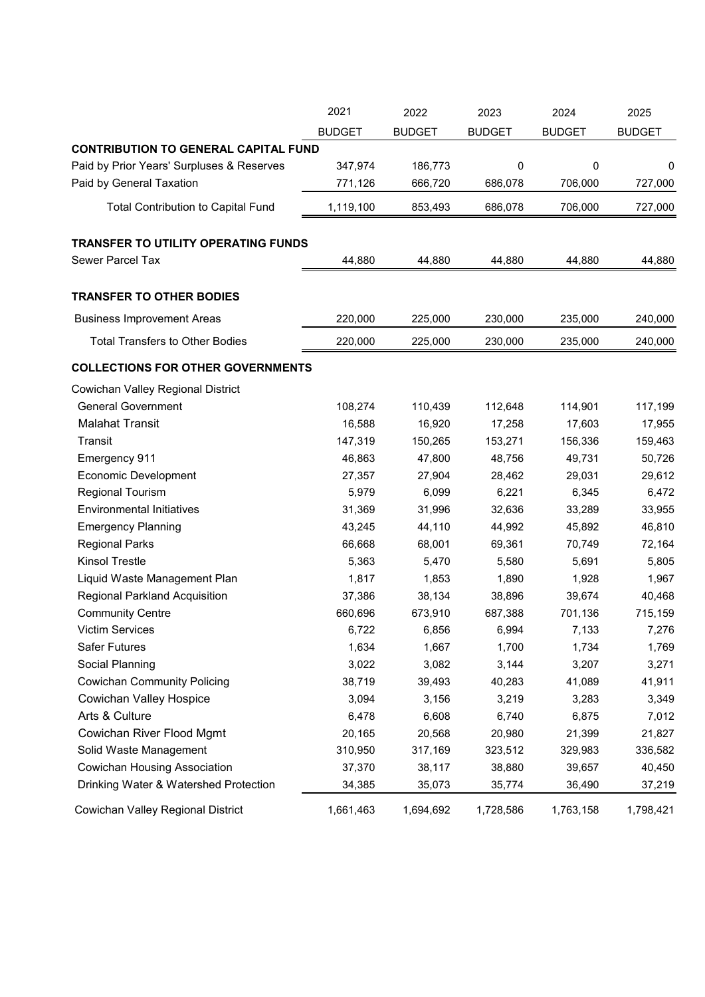|                                             | 2021          | 2022          | 2023          | 2024          | 2025          |
|---------------------------------------------|---------------|---------------|---------------|---------------|---------------|
|                                             | <b>BUDGET</b> | <b>BUDGET</b> | <b>BUDGET</b> | <b>BUDGET</b> | <b>BUDGET</b> |
| <b>CONTRIBUTION TO GENERAL CAPITAL FUND</b> |               |               |               |               |               |
| Paid by Prior Years' Surpluses & Reserves   | 347,974       | 186,773       | 0             | 0             | 0             |
| Paid by General Taxation                    | 771,126       | 666,720       | 686,078       | 706,000       | 727,000       |
| <b>Total Contribution to Capital Fund</b>   | 1,119,100     | 853,493       | 686,078       | 706,000       | 727,000       |
| <b>TRANSFER TO UTILITY OPERATING FUNDS</b>  |               |               |               |               |               |
| Sewer Parcel Tax                            | 44,880        | 44,880        | 44,880        | 44,880        | 44,880        |
| <b>TRANSFER TO OTHER BODIES</b>             |               |               |               |               |               |
| <b>Business Improvement Areas</b>           | 220,000       | 225,000       | 230,000       | 235,000       | 240,000       |
| <b>Total Transfers to Other Bodies</b>      | 220,000       | 225,000       | 230,000       | 235,000       | 240,000       |
| <b>COLLECTIONS FOR OTHER GOVERNMENTS</b>    |               |               |               |               |               |
| Cowichan Valley Regional District           |               |               |               |               |               |
| <b>General Government</b>                   | 108,274       | 110,439       | 112,648       | 114,901       | 117,199       |
| <b>Malahat Transit</b>                      | 16,588        | 16,920        | 17,258        | 17,603        | 17,955        |
| Transit                                     | 147,319       | 150,265       | 153,271       | 156,336       | 159,463       |
| Emergency 911                               | 46,863        | 47,800        | 48,756        | 49,731        | 50,726        |
| <b>Economic Development</b>                 | 27,357        | 27,904        | 28,462        | 29,031        | 29,612        |
| <b>Regional Tourism</b>                     | 5,979         | 6,099         | 6,221         | 6,345         | 6,472         |
| <b>Environmental Initiatives</b>            | 31,369        | 31,996        | 32,636        | 33,289        | 33,955        |
| <b>Emergency Planning</b>                   | 43,245        | 44,110        | 44,992        | 45,892        | 46,810        |
| <b>Regional Parks</b>                       | 66,668        | 68,001        | 69,361        | 70,749        | 72,164        |
| <b>Kinsol Trestle</b>                       | 5,363         | 5,470         | 5,580         | 5,691         | 5,805         |
| Liquid Waste Management Plan                | 1,817         | 1,853         | 1,890         | 1,928         | 1,967         |
| <b>Regional Parkland Acquisition</b>        | 37,386        | 38,134        | 38,896        | 39,674        | 40,468        |
| <b>Community Centre</b>                     | 660,696       | 673,910       | 687,388       | 701,136       | 715,159       |
| <b>Victim Services</b>                      | 6,722         | 6,856         | 6,994         | 7,133         | 7,276         |
| <b>Safer Futures</b>                        | 1,634         | 1,667         | 1,700         | 1,734         | 1,769         |
| Social Planning                             | 3,022         | 3,082         | 3,144         | 3,207         | 3,271         |
| <b>Cowichan Community Policing</b>          | 38,719        | 39,493        | 40,283        | 41,089        | 41,911        |
| <b>Cowichan Valley Hospice</b>              | 3,094         | 3,156         | 3,219         | 3,283         | 3,349         |
| Arts & Culture                              | 6,478         | 6,608         | 6,740         | 6,875         | 7,012         |
| Cowichan River Flood Mgmt                   | 20,165        | 20,568        | 20,980        | 21,399        | 21,827        |
| Solid Waste Management                      | 310,950       | 317,169       | 323,512       | 329,983       | 336,582       |
| <b>Cowichan Housing Association</b>         | 37,370        | 38,117        | 38,880        | 39,657        | 40,450        |
| Drinking Water & Watershed Protection       | 34,385        | 35,073        | 35,774        | 36,490        | 37,219        |
| Cowichan Valley Regional District           | 1,661,463     | 1,694,692     | 1,728,586     | 1,763,158     | 1,798,421     |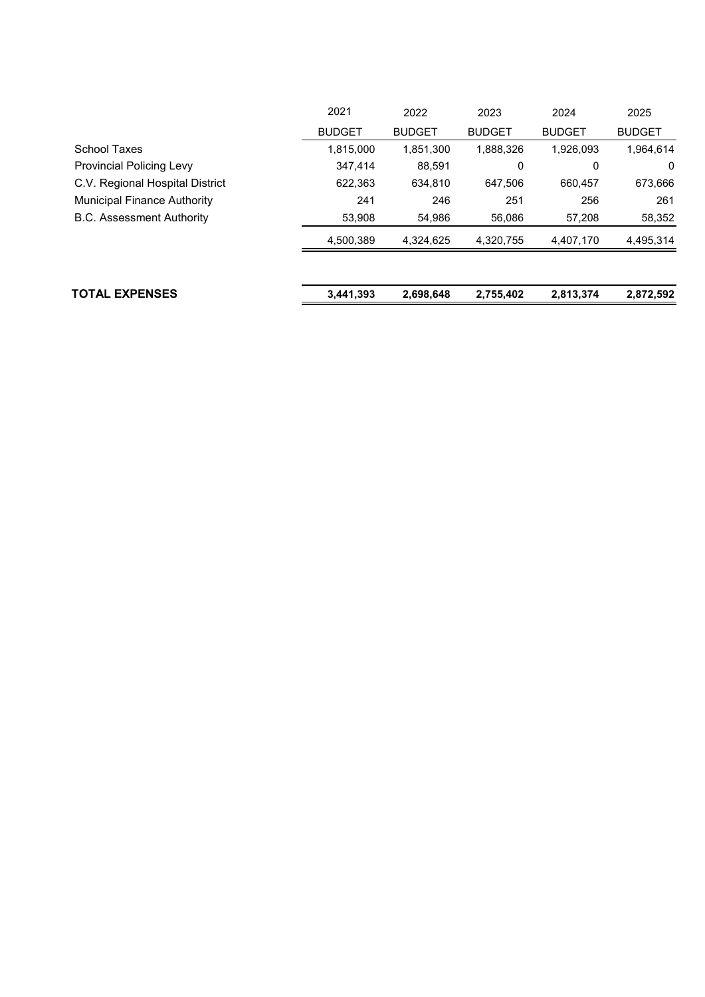| <b>TOTAL EXPENSES</b>              | 3,441,393     | 2,698,648     | 2,755,402     | 2,813,374     | 2,872,592     |
|------------------------------------|---------------|---------------|---------------|---------------|---------------|
|                                    | 4,500,389     | 4,324,625     | 4,320,755     | 4,407,170     | 4,495,314     |
| <b>B.C. Assessment Authority</b>   | 53,908        | 54,986        | 56,086        | 57,208        | 58,352        |
| <b>Municipal Finance Authority</b> | 241           | 246           | 251           | 256           | 261           |
| C.V. Regional Hospital District    | 622.363       | 634,810       | 647.506       | 660.457       | 673,666       |
| <b>Provincial Policing Levy</b>    | 347.414       | 88,591        | 0             | 0             | 0             |
| School Taxes                       | 1,815,000     | 1,851,300     | 1,888,326     | 1,926,093     | 1,964,614     |
|                                    | <b>BUDGET</b> | <b>BUDGET</b> | <b>BUDGET</b> | <b>BUDGET</b> | <b>BUDGET</b> |
|                                    | 2021          | 2022          | 2023          | 2024          | 2025          |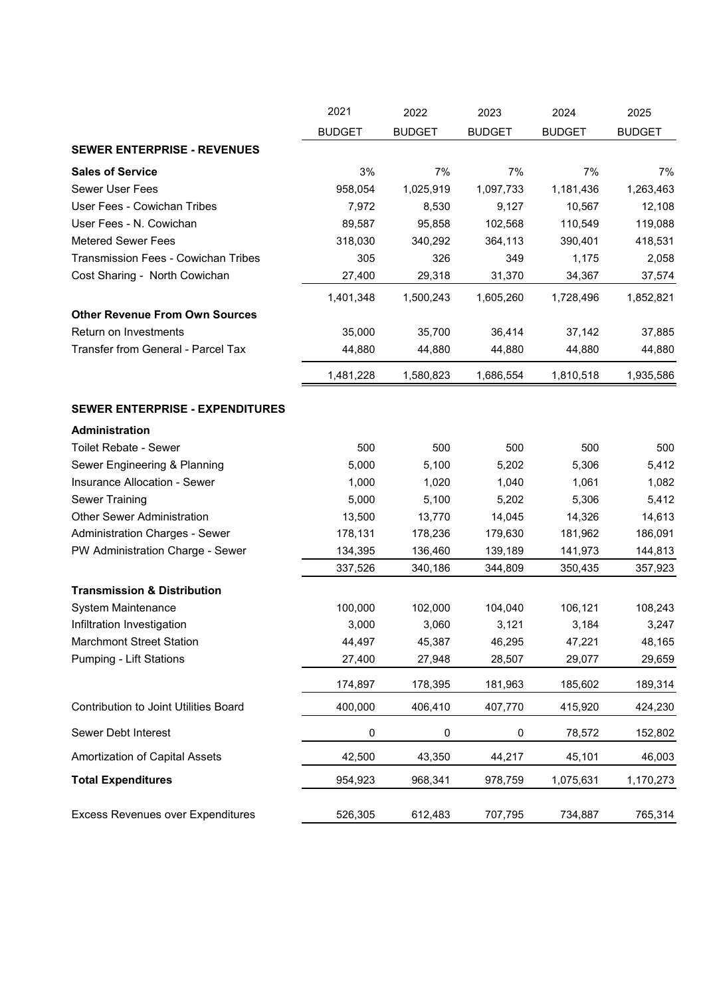|                                            | 2021          | 2022          | 2023          | 2024          | 2025          |
|--------------------------------------------|---------------|---------------|---------------|---------------|---------------|
|                                            | <b>BUDGET</b> | <b>BUDGET</b> | <b>BUDGET</b> | <b>BUDGET</b> | <b>BUDGET</b> |
| <b>SEWER ENTERPRISE - REVENUES</b>         |               |               |               |               |               |
| <b>Sales of Service</b>                    | 3%            | 7%            | 7%            | 7%            | 7%            |
| <b>Sewer User Fees</b>                     | 958,054       | 1,025,919     | 1,097,733     | 1,181,436     | 1,263,463     |
| User Fees - Cowichan Tribes                | 7,972         | 8,530         | 9,127         | 10,567        | 12,108        |
| User Fees - N. Cowichan                    | 89,587        | 95,858        | 102,568       | 110,549       | 119,088       |
| <b>Metered Sewer Fees</b>                  | 318,030       | 340,292       | 364,113       | 390,401       | 418,531       |
| <b>Transmission Fees - Cowichan Tribes</b> | 305           | 326           | 349           | 1,175         | 2,058         |
| Cost Sharing - North Cowichan              | 27,400        | 29,318        | 31,370        | 34,367        | 37,574        |
|                                            | 1,401,348     | 1,500,243     | 1,605,260     | 1,728,496     | 1,852,821     |
| <b>Other Revenue From Own Sources</b>      |               |               |               |               |               |
| Return on Investments                      | 35,000        | 35,700        | 36,414        | 37,142        | 37,885        |
| Transfer from General - Parcel Tax         | 44,880        | 44,880        | 44,880        | 44,880        | 44,880        |
|                                            | 1,481,228     | 1,580,823     | 1,686,554     | 1,810,518     | 1,935,586     |
| <b>SEWER ENTERPRISE - EXPENDITURES</b>     |               |               |               |               |               |
| Administration                             |               |               |               |               |               |
| <b>Toilet Rebate - Sewer</b>               | 500           | 500           | 500           | 500           | 500           |
| Sewer Engineering & Planning               | 5,000         | 5,100         | 5,202         | 5,306         | 5,412         |
| Insurance Allocation - Sewer               | 1,000         | 1,020         | 1,040         | 1,061         | 1,082         |
| <b>Sewer Training</b>                      | 5,000         | 5,100         | 5,202         | 5,306         | 5,412         |
| <b>Other Sewer Administration</b>          | 13,500        | 13,770        | 14,045        | 14,326        | 14,613        |
| <b>Administration Charges - Sewer</b>      | 178,131       | 178,236       | 179,630       | 181,962       | 186,091       |
| PW Administration Charge - Sewer           | 134,395       | 136,460       | 139,189       | 141,973       | 144,813       |
|                                            | 337,526       | 340,186       | 344,809       | 350,435       | 357,923       |
| <b>Transmission &amp; Distribution</b>     |               |               |               |               |               |
| System Maintenance                         | 100,000       | 102,000       | 104,040       | 106,121       | 108,243       |
| Infiltration Investigation                 | 3,000         | 3,060         | 3,121         | 3,184         | 3,247         |
| <b>Marchmont Street Station</b>            | 44,497        | 45,387        | 46,295        | 47,221        | 48,165        |
| <b>Pumping - Lift Stations</b>             | 27,400        | 27,948        | 28,507        | 29,077        | 29,659        |
|                                            | 174,897       | 178,395       | 181,963       | 185,602       | 189,314       |
| Contribution to Joint Utilities Board      | 400,000       | 406,410       | 407,770       | 415,920       | 424,230       |
| Sewer Debt Interest                        | 0             | $\pmb{0}$     | 0             | 78,572        | 152,802       |
| Amortization of Capital Assets             | 42,500        | 43,350        | 44,217        | 45,101        | 46,003        |
| <b>Total Expenditures</b>                  | 954,923       | 968,341       | 978,759       | 1,075,631     | 1,170,273     |
| Excess Revenues over Expenditures          | 526,305       | 612,483       | 707,795       | 734,887       | 765,314       |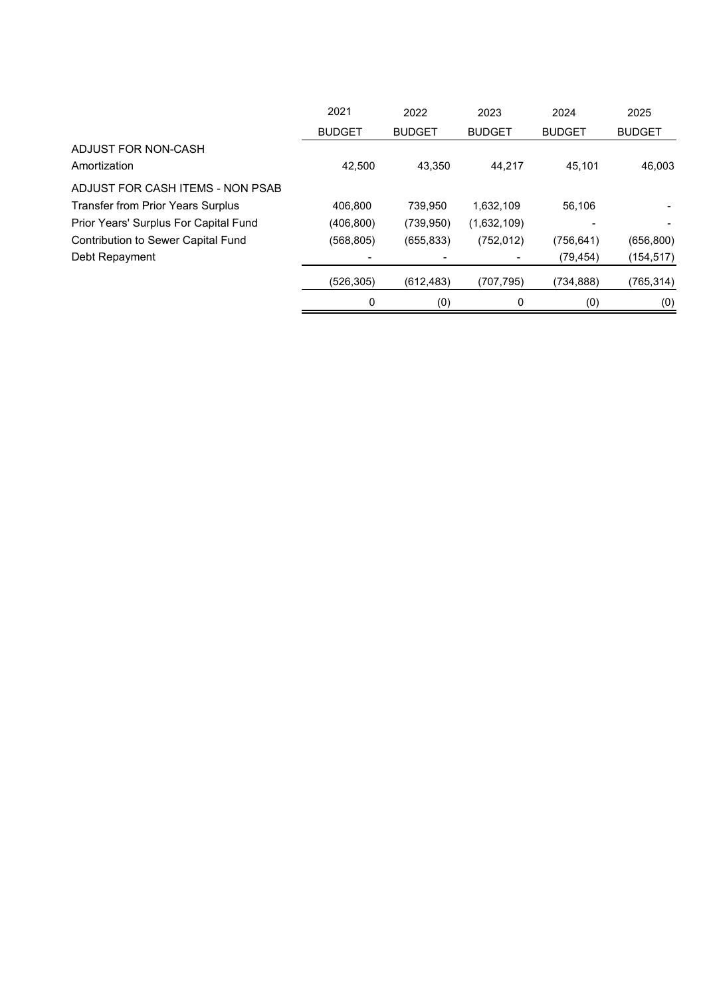|                                           | 2021          | 2022          | 2023          | 2024          | 2025          |
|-------------------------------------------|---------------|---------------|---------------|---------------|---------------|
|                                           | <b>BUDGET</b> | <b>BUDGET</b> | <b>BUDGET</b> | <b>BUDGET</b> | <b>BUDGET</b> |
| ADJUST FOR NON-CASH                       |               |               |               |               |               |
| Amortization                              | 42.500        | 43.350        | 44.217        | 45.101        | 46,003        |
| ADJUST FOR CASH ITEMS - NON PSAB          |               |               |               |               |               |
| <b>Transfer from Prior Years Surplus</b>  | 406,800       | 739,950       | 1,632,109     | 56,106        |               |
| Prior Years' Surplus For Capital Fund     | (406, 800)    | (739, 950)    | (1,632,109)   |               |               |
| <b>Contribution to Sewer Capital Fund</b> | (568,805)     | (655, 833)    | (752, 012)    | (756, 641)    | (656, 800)    |
| Debt Repayment                            |               |               |               | (79, 454)     | (154, 517)    |
|                                           | (526, 305)    | (612, 483)    | (707,795)     | (734,888)     | (765, 314)    |
|                                           | 0             | (0)           | 0             | (0)           | (0)           |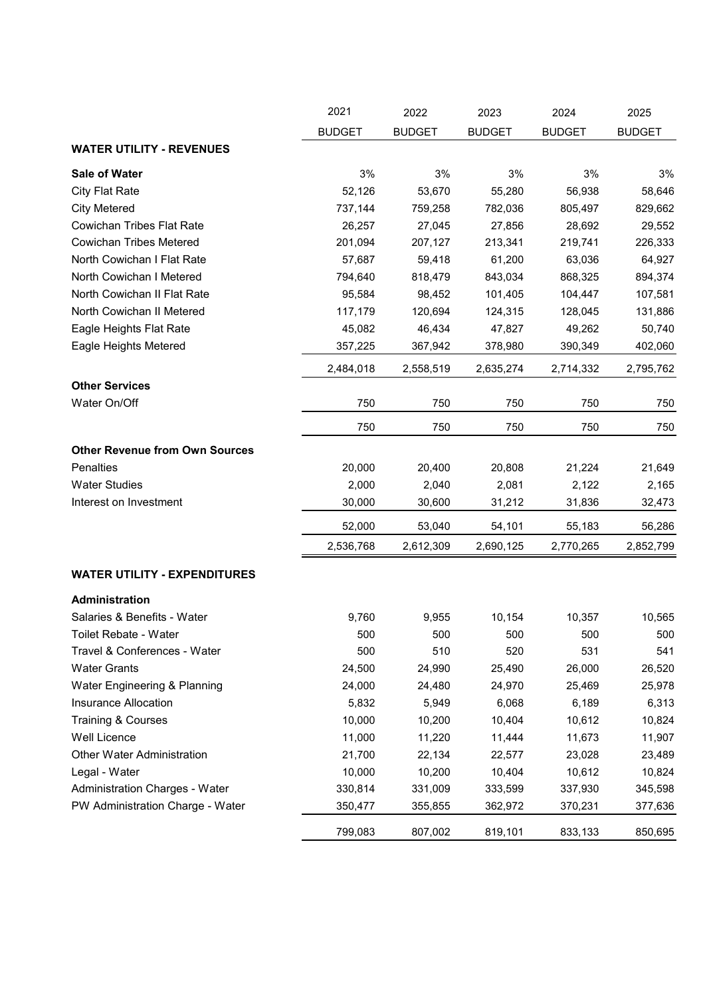|                                       | 2021          | 2022          | 2023          | 2024          | 2025          |
|---------------------------------------|---------------|---------------|---------------|---------------|---------------|
|                                       | <b>BUDGET</b> | <b>BUDGET</b> | <b>BUDGET</b> | <b>BUDGET</b> | <b>BUDGET</b> |
| <b>WATER UTILITY - REVENUES</b>       |               |               |               |               |               |
| Sale of Water                         | 3%            | 3%            | 3%            | 3%            | 3%            |
| <b>City Flat Rate</b>                 | 52,126        | 53,670        | 55,280        | 56,938        | 58,646        |
| <b>City Metered</b>                   | 737,144       | 759,258       | 782,036       | 805,497       | 829,662       |
| <b>Cowichan Tribes Flat Rate</b>      | 26,257        | 27,045        | 27,856        | 28,692        | 29,552        |
| <b>Cowichan Tribes Metered</b>        | 201,094       | 207,127       | 213,341       | 219,741       | 226,333       |
| North Cowichan I Flat Rate            | 57,687        | 59,418        | 61,200        | 63,036        | 64,927        |
| North Cowichan I Metered              | 794,640       | 818,479       | 843,034       | 868,325       | 894,374       |
| North Cowichan II Flat Rate           | 95,584        | 98,452        | 101,405       | 104,447       | 107,581       |
| North Cowichan II Metered             | 117,179       | 120,694       | 124,315       | 128,045       | 131,886       |
| Eagle Heights Flat Rate               | 45,082        | 46,434        | 47,827        | 49,262        | 50,740        |
| Eagle Heights Metered                 | 357,225       | 367,942       | 378,980       | 390,349       | 402,060       |
|                                       | 2,484,018     | 2,558,519     | 2,635,274     | 2,714,332     | 2,795,762     |
| <b>Other Services</b>                 |               |               |               |               |               |
| Water On/Off                          | 750           | 750           | 750           | 750           | 750           |
|                                       | 750           | 750           | 750           | 750           | 750           |
| <b>Other Revenue from Own Sources</b> |               |               |               |               |               |
| <b>Penalties</b>                      | 20,000        | 20,400        | 20,808        | 21,224        | 21,649        |
| <b>Water Studies</b>                  | 2,000         | 2,040         | 2,081         | 2,122         | 2,165         |
| Interest on Investment                | 30,000        | 30,600        | 31,212        | 31,836        | 32,473        |
|                                       | 52,000        | 53,040        | 54,101        | 55,183        | 56,286        |
|                                       | 2,536,768     | 2,612,309     | 2,690,125     | 2,770,265     | 2,852,799     |
| <b>WATER UTILITY - EXPENDITURES</b>   |               |               |               |               |               |
| Administration                        |               |               |               |               |               |
| Salaries & Benefits - Water           | 9,760         | 9,955         | 10,154        | 10,357        | 10,565        |
| Toilet Rebate - Water                 | 500           | 500           | 500           | 500           | 500           |
| Travel & Conferences - Water          | 500           | 510           | 520           | 531           | 541           |
| <b>Water Grants</b>                   | 24,500        | 24,990        | 25,490        | 26,000        | 26,520        |
| Water Engineering & Planning          | 24,000        | 24,480        | 24,970        | 25,469        | 25,978        |
| Insurance Allocation                  | 5,832         | 5,949         | 6,068         | 6,189         | 6,313         |
| <b>Training &amp; Courses</b>         | 10,000        | 10,200        | 10,404        | 10,612        | 10,824        |
| Well Licence                          | 11,000        | 11,220        | 11,444        | 11,673        | 11,907        |
| <b>Other Water Administration</b>     | 21,700        | 22,134        | 22,577        | 23,028        | 23,489        |
| Legal - Water                         | 10,000        | 10,200        | 10,404        | 10,612        | 10,824        |
| Administration Charges - Water        | 330,814       | 331,009       | 333,599       | 337,930       | 345,598       |
| PW Administration Charge - Water      | 350,477       | 355,855       | 362,972       | 370,231       | 377,636       |
|                                       | 799,083       | 807,002       | 819,101       | 833,133       | 850,695       |